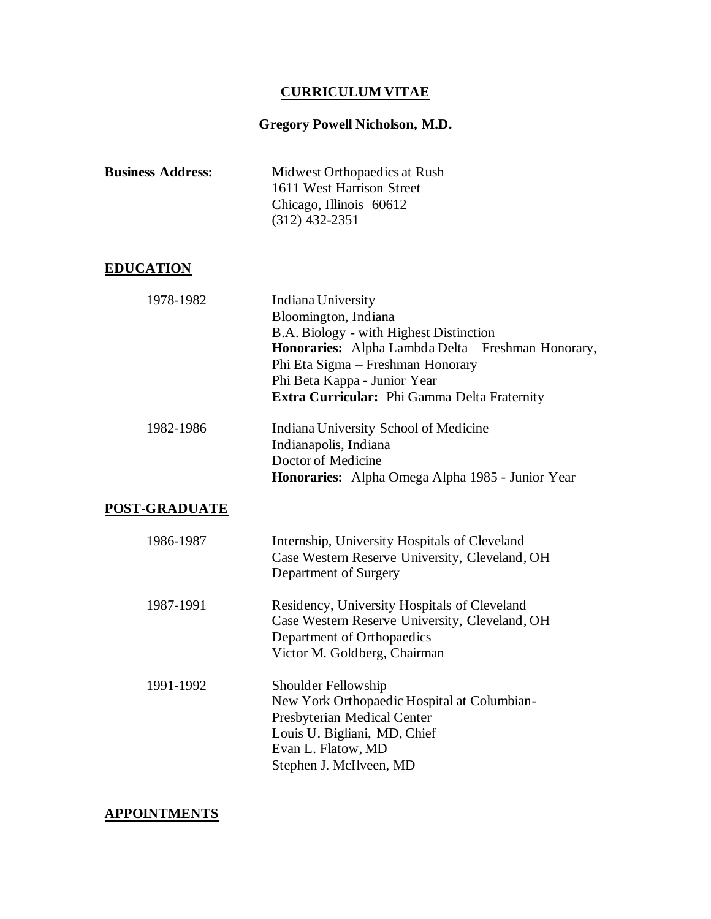# **CURRICULUM VITAE**

# **Gregory Powell Nicholson, M.D.**

| <b>Business Address:</b> | Midwest Orthopaedics at Rush<br>1611 West Harrison Street<br>Chicago, Illinois 60612<br>$(312)$ 432-2351                                                                                                                                                          |
|--------------------------|-------------------------------------------------------------------------------------------------------------------------------------------------------------------------------------------------------------------------------------------------------------------|
| <b>EDUCATION</b>         |                                                                                                                                                                                                                                                                   |
| 1978-1982                | Indiana University<br>Bloomington, Indiana<br>B.A. Biology - with Highest Distinction<br>Honoraries: Alpha Lambda Delta - Freshman Honorary,<br>Phi Eta Sigma - Freshman Honorary<br>Phi Beta Kappa - Junior Year<br>Extra Curricular: Phi Gamma Delta Fraternity |
| 1982-1986                | Indiana University School of Medicine<br>Indianapolis, Indiana<br>Doctor of Medicine<br>Honoraries: Alpha Omega Alpha 1985 - Junior Year                                                                                                                          |
| POST-GRADUATE            |                                                                                                                                                                                                                                                                   |
| 1986-1987                | Internship, University Hospitals of Cleveland<br>Case Western Reserve University, Cleveland, OH<br>Department of Surgery                                                                                                                                          |
| 1987-1991                | Residency, University Hospitals of Cleveland<br>Case Western Reserve University, Cleveland, OH<br>Department of Orthopaedics<br>Victor M. Goldberg, Chairman                                                                                                      |
| 1991-1992                | Shoulder Fellowship<br>New York Orthopaedic Hospital at Columbian-<br>Presbyterian Medical Center<br>Louis U. Bigliani, MD, Chief<br>Evan L. Flatow, MD<br>Stephen J. McIlveen, MD                                                                                |

## **APPOINTMENTS**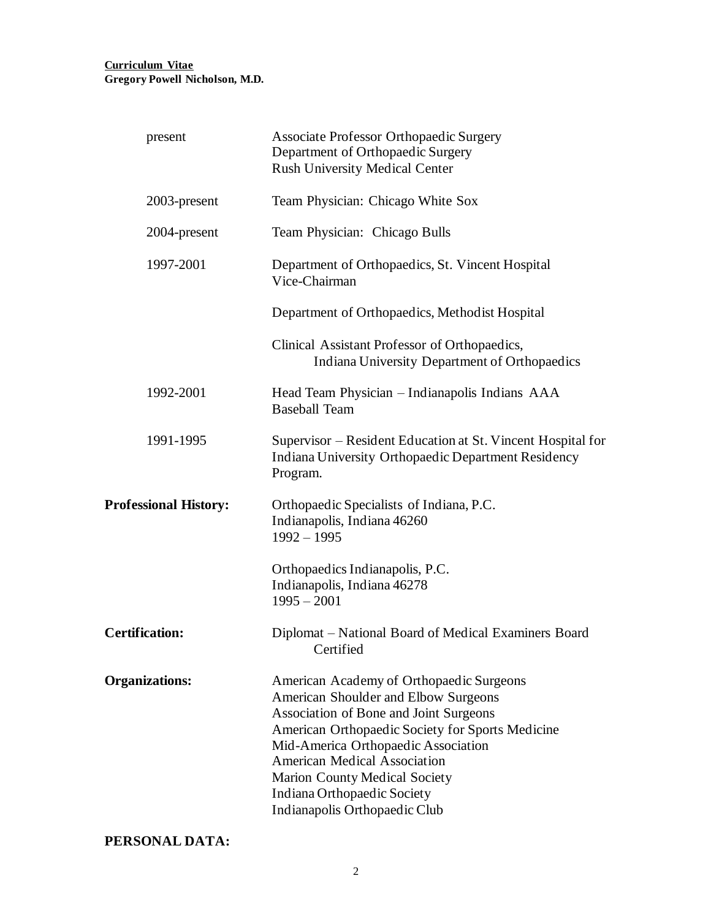| present                      | <b>Associate Professor Orthopaedic Surgery</b><br>Department of Orthopaedic Surgery<br><b>Rush University Medical Center</b>                                                                                                                                                                                                                                         |
|------------------------------|----------------------------------------------------------------------------------------------------------------------------------------------------------------------------------------------------------------------------------------------------------------------------------------------------------------------------------------------------------------------|
| 2003-present                 | Team Physician: Chicago White Sox                                                                                                                                                                                                                                                                                                                                    |
| 2004-present                 | Team Physician: Chicago Bulls                                                                                                                                                                                                                                                                                                                                        |
| 1997-2001                    | Department of Orthopaedics, St. Vincent Hospital<br>Vice-Chairman                                                                                                                                                                                                                                                                                                    |
|                              | Department of Orthopaedics, Methodist Hospital                                                                                                                                                                                                                                                                                                                       |
|                              | Clinical Assistant Professor of Orthopaedics,<br><b>Indiana University Department of Orthopaedics</b>                                                                                                                                                                                                                                                                |
| 1992-2001                    | Head Team Physician - Indianapolis Indians AAA<br><b>Baseball Team</b>                                                                                                                                                                                                                                                                                               |
| 1991-1995                    | Supervisor – Resident Education at St. Vincent Hospital for<br>Indiana University Orthopaedic Department Residency<br>Program.                                                                                                                                                                                                                                       |
| <b>Professional History:</b> | Orthopaedic Specialists of Indiana, P.C.<br>Indianapolis, Indiana 46260<br>$1992 - 1995$                                                                                                                                                                                                                                                                             |
|                              | Orthopaedics Indianapolis, P.C.<br>Indianapolis, Indiana 46278<br>$1995 - 2001$                                                                                                                                                                                                                                                                                      |
| <b>Certification:</b>        | Diplomat – National Board of Medical Examiners Board<br>Certified                                                                                                                                                                                                                                                                                                    |
| <b>Organizations:</b>        | American Academy of Orthopaedic Surgeons<br>American Shoulder and Elbow Surgeons<br>Association of Bone and Joint Surgeons<br>American Orthopaedic Society for Sports Medicine<br>Mid-America Orthopaedic Association<br><b>American Medical Association</b><br><b>Marion County Medical Society</b><br>Indiana Orthopaedic Society<br>Indianapolis Orthopaedic Club |

## **PERSONAL DATA:**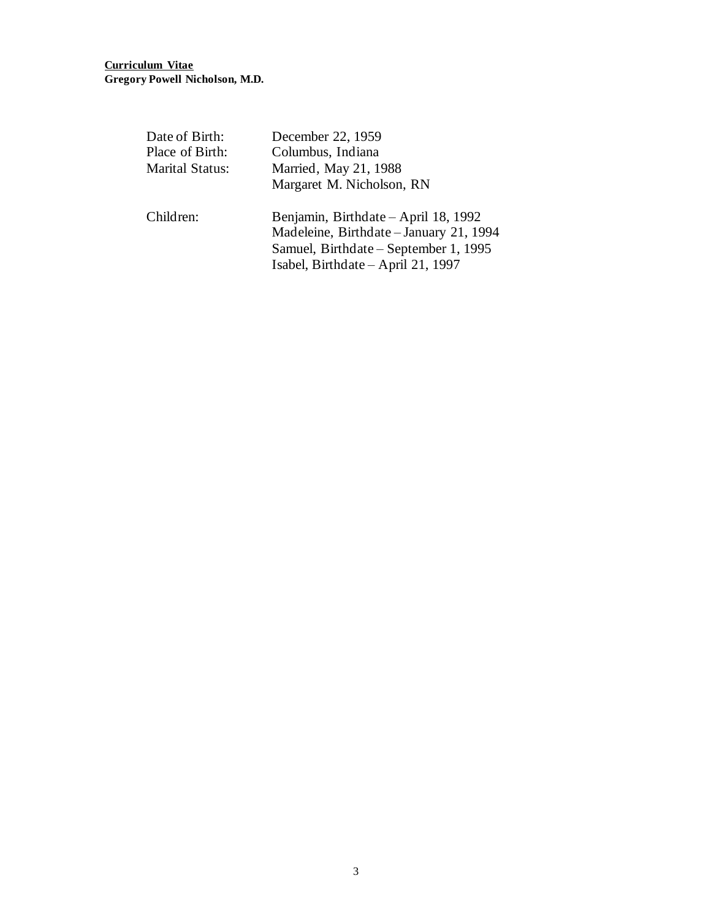| Date of Birth:  | December 22, 1959                                                                                                                                              |
|-----------------|----------------------------------------------------------------------------------------------------------------------------------------------------------------|
| Place of Birth: | Columbus, Indiana                                                                                                                                              |
| Marital Status: | Married, May 21, 1988                                                                                                                                          |
|                 | Margaret M. Nicholson, RN                                                                                                                                      |
| Children:       | Benjamin, Birthdate – April 18, 1992<br>Madeleine, Birthdate - January 21, 1994<br>Samuel, Birthdate – September 1, 1995<br>Isabel, Birthdate – April 21, 1997 |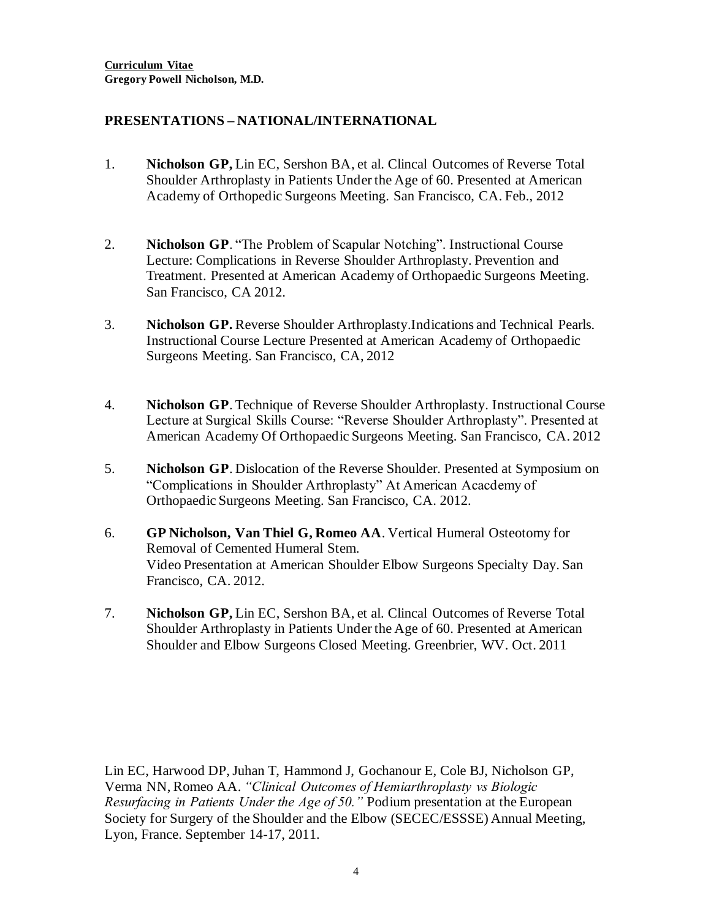#### **PRESENTATIONS – NATIONAL/INTERNATIONAL**

- 1. **Nicholson GP,** Lin EC, Sershon BA, et al. Clincal Outcomes of Reverse Total Shoulder Arthroplasty in Patients Under the Age of 60. Presented at American Academy of Orthopedic Surgeons Meeting. San Francisco, CA. Feb., 2012
- 2. **Nicholson GP**. "The Problem of Scapular Notching". Instructional Course Lecture: Complications in Reverse Shoulder Arthroplasty. Prevention and Treatment. Presented at American Academy of Orthopaedic Surgeons Meeting. San Francisco, CA 2012.
- 3. **Nicholson GP.** Reverse Shoulder Arthroplasty.Indications and Technical Pearls. Instructional Course Lecture Presented at American Academy of Orthopaedic Surgeons Meeting. San Francisco, CA, 2012
- 4. **Nicholson GP**. Technique of Reverse Shoulder Arthroplasty. Instructional Course Lecture at Surgical Skills Course: "Reverse Shoulder Arthroplasty". Presented at American Academy Of Orthopaedic Surgeons Meeting. San Francisco, CA. 2012
- 5. **Nicholson GP**. Dislocation of the Reverse Shoulder. Presented at Symposium on "Complications in Shoulder Arthroplasty" At American Acacdemy of Orthopaedic Surgeons Meeting. San Francisco, CA. 2012.
- 6. **GP Nicholson, Van Thiel G, Romeo AA**. Vertical Humeral Osteotomy for Removal of Cemented Humeral Stem. Video Presentation at American Shoulder Elbow Surgeons Specialty Day. San Francisco, CA. 2012.
- 7. **Nicholson GP,** Lin EC, Sershon BA, et al. Clincal Outcomes of Reverse Total Shoulder Arthroplasty in Patients Under the Age of 60. Presented at American Shoulder and Elbow Surgeons Closed Meeting. Greenbrier, WV. Oct. 2011

Lin EC, Harwood DP, Juhan T, Hammond J, Gochanour E, Cole BJ, Nicholson GP, Verma NN, Romeo AA. *"Clinical Outcomes of Hemiarthroplasty vs Biologic Resurfacing in Patients Under the Age of 50."* Podium presentation at the European Society for Surgery of the Shoulder and the Elbow (SECEC/ESSSE) Annual Meeting, Lyon, France. September 14-17, 2011.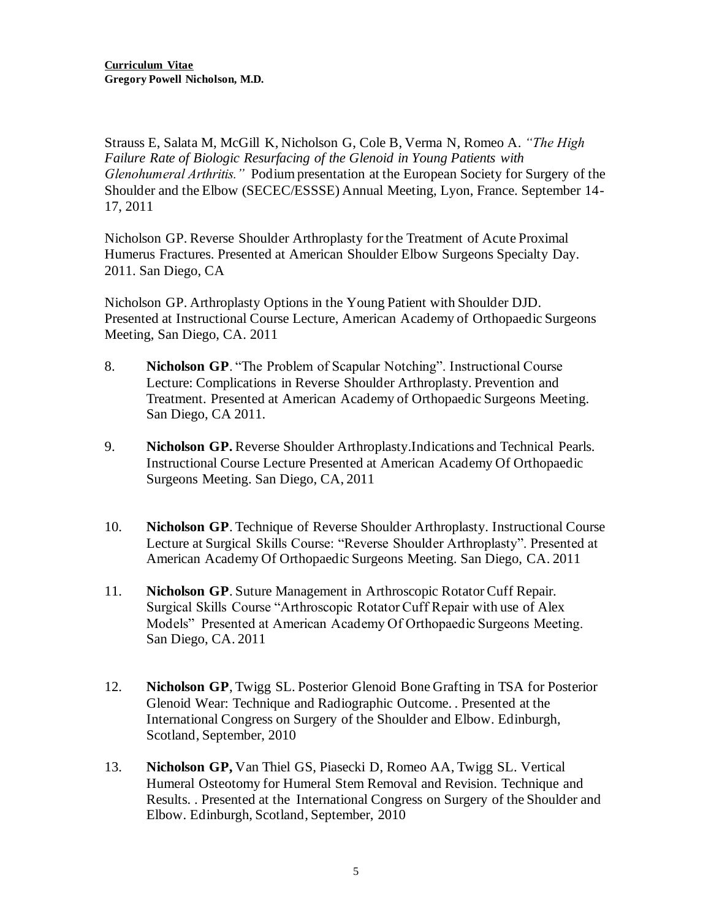Strauss E, Salata M, McGill K, Nicholson G, Cole B, Verma N, Romeo A. *"The High Failure Rate of Biologic Resurfacing of the Glenoid in Young Patients with Glenohumeral Arthritis."* Podium presentation at the European Society for Surgery of the Shoulder and the Elbow (SECEC/ESSSE) Annual Meeting, Lyon, France. September 14- 17, 2011

Nicholson GP. Reverse Shoulder Arthroplasty for the Treatment of Acute Proximal Humerus Fractures. Presented at American Shoulder Elbow Surgeons Specialty Day. 2011. San Diego, CA

Nicholson GP. Arthroplasty Options in the Young Patient with Shoulder DJD. Presented at Instructional Course Lecture, American Academy of Orthopaedic Surgeons Meeting, San Diego, CA. 2011

- 8. **Nicholson GP**. "The Problem of Scapular Notching". Instructional Course Lecture: Complications in Reverse Shoulder Arthroplasty. Prevention and Treatment. Presented at American Academy of Orthopaedic Surgeons Meeting. San Diego, CA 2011.
- 9. **Nicholson GP.** Reverse Shoulder Arthroplasty.Indications and Technical Pearls. Instructional Course Lecture Presented at American Academy Of Orthopaedic Surgeons Meeting. San Diego, CA, 2011
- 10. **Nicholson GP**. Technique of Reverse Shoulder Arthroplasty. Instructional Course Lecture at Surgical Skills Course: "Reverse Shoulder Arthroplasty". Presented at American Academy Of Orthopaedic Surgeons Meeting. San Diego, CA. 2011
- 11. **Nicholson GP**. Suture Management in Arthroscopic Rotator Cuff Repair. Surgical Skills Course "Arthroscopic Rotator Cuff Repair with use of Alex Models" Presented at American Academy Of Orthopaedic Surgeons Meeting. San Diego, CA. 2011
- 12. **Nicholson GP**, Twigg SL. Posterior Glenoid Bone Grafting in TSA for Posterior Glenoid Wear: Technique and Radiographic Outcome. . Presented at the International Congress on Surgery of the Shoulder and Elbow. Edinburgh, Scotland, September, 2010
- 13. **Nicholson GP,** Van Thiel GS, Piasecki D, Romeo AA, Twigg SL. Vertical Humeral Osteotomy for Humeral Stem Removal and Revision. Technique and Results. . Presented at the International Congress on Surgery of the Shoulder and Elbow. Edinburgh, Scotland, September, 2010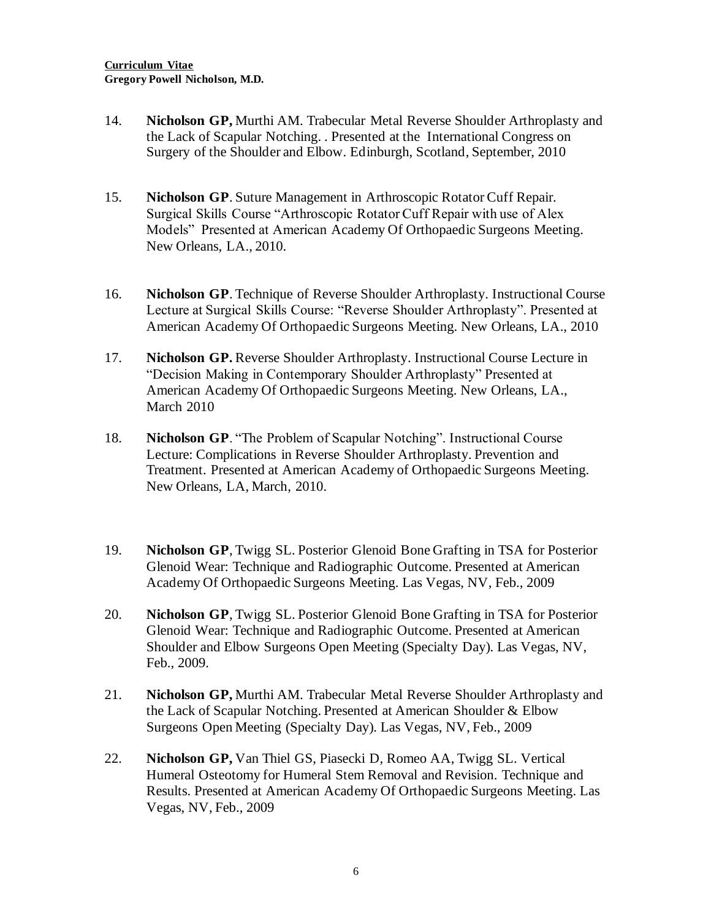- 14. **Nicholson GP,** Murthi AM. Trabecular Metal Reverse Shoulder Arthroplasty and the Lack of Scapular Notching. . Presented at the International Congress on Surgery of the Shoulder and Elbow. Edinburgh, Scotland, September, 2010
- 15. **Nicholson GP**. Suture Management in Arthroscopic Rotator Cuff Repair. Surgical Skills Course "Arthroscopic Rotator Cuff Repair with use of Alex Models" Presented at American Academy Of Orthopaedic Surgeons Meeting. New Orleans, LA., 2010.
- 16. **Nicholson GP**. Technique of Reverse Shoulder Arthroplasty. Instructional Course Lecture at Surgical Skills Course: "Reverse Shoulder Arthroplasty". Presented at American Academy Of Orthopaedic Surgeons Meeting. New Orleans, LA., 2010
- 17. **Nicholson GP.** Reverse Shoulder Arthroplasty. Instructional Course Lecture in "Decision Making in Contemporary Shoulder Arthroplasty" Presented at American Academy Of Orthopaedic Surgeons Meeting. New Orleans, LA., March 2010
- 18. **Nicholson GP**. "The Problem of Scapular Notching". Instructional Course Lecture: Complications in Reverse Shoulder Arthroplasty. Prevention and Treatment. Presented at American Academy of Orthopaedic Surgeons Meeting. New Orleans, LA, March, 2010.
- 19. **Nicholson GP**, Twigg SL. Posterior Glenoid Bone Grafting in TSA for Posterior Glenoid Wear: Technique and Radiographic Outcome. Presented at American Academy Of Orthopaedic Surgeons Meeting. Las Vegas, NV, Feb., 2009
- 20. **Nicholson GP**, Twigg SL. Posterior Glenoid Bone Grafting in TSA for Posterior Glenoid Wear: Technique and Radiographic Outcome. Presented at American Shoulder and Elbow Surgeons Open Meeting (Specialty Day). Las Vegas, NV, Feb., 2009.
- 21. **Nicholson GP,** Murthi AM. Trabecular Metal Reverse Shoulder Arthroplasty and the Lack of Scapular Notching. Presented at American Shoulder & Elbow Surgeons Open Meeting (Specialty Day). Las Vegas, NV, Feb., 2009
- 22. **Nicholson GP,** Van Thiel GS, Piasecki D, Romeo AA, Twigg SL. Vertical Humeral Osteotomy for Humeral Stem Removal and Revision. Technique and Results. Presented at American Academy Of Orthopaedic Surgeons Meeting. Las Vegas, NV, Feb., 2009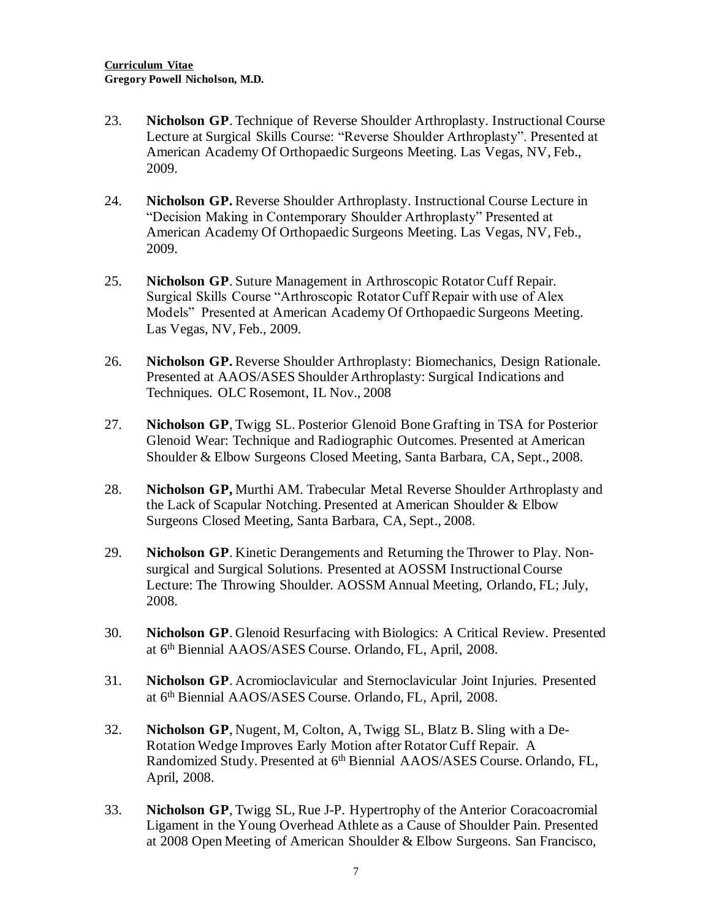- 23. **Nicholson GP**. Technique of Reverse Shoulder Arthroplasty. Instructional Course Lecture at Surgical Skills Course: "Reverse Shoulder Arthroplasty". Presented at American Academy Of Orthopaedic Surgeons Meeting. Las Vegas, NV, Feb., 2009.
- 24. **Nicholson GP.** Reverse Shoulder Arthroplasty. Instructional Course Lecture in "Decision Making in Contemporary Shoulder Arthroplasty" Presented at American Academy Of Orthopaedic Surgeons Meeting. Las Vegas, NV, Feb., 2009.
- 25. **Nicholson GP**. Suture Management in Arthroscopic Rotator Cuff Repair. Surgical Skills Course "Arthroscopic Rotator Cuff Repair with use of Alex Models" Presented at American Academy Of Orthopaedic Surgeons Meeting. Las Vegas, NV, Feb., 2009.
- 26. **Nicholson GP.** Reverse Shoulder Arthroplasty: Biomechanics, Design Rationale. Presented at AAOS/ASES Shoulder Arthroplasty: Surgical Indications and Techniques. OLC Rosemont, IL Nov., 2008
- 27. **Nicholson GP**, Twigg SL. Posterior Glenoid Bone Grafting in TSA for Posterior Glenoid Wear: Technique and Radiographic Outcomes. Presented at American Shoulder & Elbow Surgeons Closed Meeting, Santa Barbara, CA, Sept., 2008.
- 28. **Nicholson GP,** Murthi AM. Trabecular Metal Reverse Shoulder Arthroplasty and the Lack of Scapular Notching. Presented at American Shoulder & Elbow Surgeons Closed Meeting, Santa Barbara, CA, Sept., 2008.
- 29. **Nicholson GP**. Kinetic Derangements and Returning the Thrower to Play. Nonsurgical and Surgical Solutions. Presented at AOSSM Instructional Course Lecture: The Throwing Shoulder. AOSSM Annual Meeting, Orlando, FL; July, 2008.
- 30. **Nicholson GP**. Glenoid Resurfacing with Biologics: A Critical Review. Presented at 6<sup>th</sup> Biennial AAOS/ASES Course. Orlando, FL, April, 2008.
- 31. **Nicholson GP**. Acromioclavicular and Sternoclavicular Joint Injuries. Presented at 6<sup>th</sup> Biennial AAOS/ASES Course. Orlando, FL, April, 2008.
- 32. **Nicholson GP**, Nugent, M, Colton, A, Twigg SL, Blatz B. Sling with a De-Rotation Wedge Improves Early Motion after Rotator Cuff Repair. A Randomized Study. Presented at 6<sup>th</sup> Biennial AAOS/ASES Course. Orlando, FL, April, 2008.
- 33. **Nicholson GP**, Twigg SL, Rue J-P. Hypertrophy of the Anterior Coracoacromial Ligament in the Young Overhead Athlete as a Cause of Shoulder Pain. Presented at 2008 Open Meeting of American Shoulder & Elbow Surgeons. San Francisco,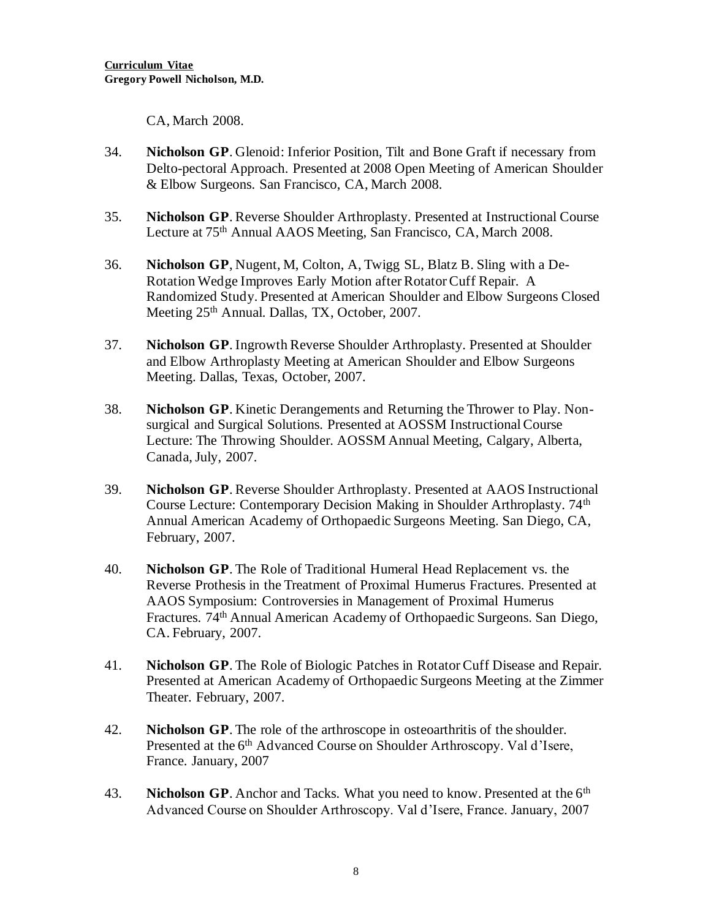CA, March 2008.

- 34. **Nicholson GP**. Glenoid: Inferior Position, Tilt and Bone Graft if necessary from Delto-pectoral Approach. Presented at 2008 Open Meeting of American Shoulder & Elbow Surgeons. San Francisco, CA, March 2008.
- 35. **Nicholson GP**. Reverse Shoulder Arthroplasty. Presented at Instructional Course Lecture at 75<sup>th</sup> Annual AAOS Meeting, San Francisco, CA, March 2008.
- 36. **Nicholson GP**, Nugent, M, Colton, A, Twigg SL, Blatz B. Sling with a De-Rotation Wedge Improves Early Motion after Rotator Cuff Repair. A Randomized Study. Presented at American Shoulder and Elbow Surgeons Closed Meeting 25<sup>th</sup> Annual. Dallas, TX, October, 2007.
- 37. **Nicholson GP**. Ingrowth Reverse Shoulder Arthroplasty. Presented at Shoulder and Elbow Arthroplasty Meeting at American Shoulder and Elbow Surgeons Meeting. Dallas, Texas, October, 2007.
- 38. **Nicholson GP**. Kinetic Derangements and Returning the Thrower to Play. Nonsurgical and Surgical Solutions. Presented at AOSSM Instructional Course Lecture: The Throwing Shoulder. AOSSM Annual Meeting, Calgary, Alberta, Canada, July, 2007.
- 39. **Nicholson GP**. Reverse Shoulder Arthroplasty. Presented at AAOS Instructional Course Lecture: Contemporary Decision Making in Shoulder Arthroplasty. 74<sup>th</sup> Annual American Academy of Orthopaedic Surgeons Meeting. San Diego, CA, February, 2007.
- 40. **Nicholson GP**. The Role of Traditional Humeral Head Replacement vs. the Reverse Prothesis in the Treatment of Proximal Humerus Fractures. Presented at AAOS Symposium: Controversies in Management of Proximal Humerus Fractures. 74th Annual American Academy of Orthopaedic Surgeons. San Diego, CA. February, 2007.
- 41. **Nicholson GP**. The Role of Biologic Patches in Rotator Cuff Disease and Repair. Presented at American Academy of Orthopaedic Surgeons Meeting at the Zimmer Theater. February, 2007.
- 42. **Nicholson GP**. The role of the arthroscope in osteoarthritis of the shoulder. Presented at the 6<sup>th</sup> Advanced Course on Shoulder Arthroscopy. Val d'Isere, France. January, 2007
- 43. **Nicholson GP**. Anchor and Tacks. What you need to know. Presented at the 6<sup>th</sup> Advanced Course on Shoulder Arthroscopy. Val d'Isere, France. January, 2007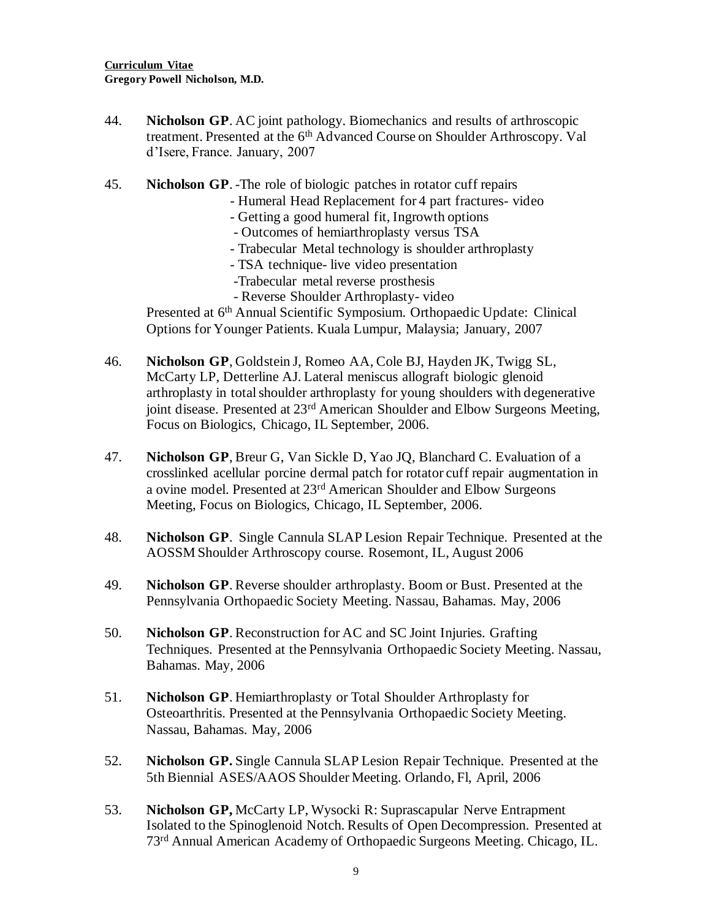- 44. **Nicholson GP**. AC joint pathology. Biomechanics and results of arthroscopic treatment. Presented at the 6<sup>th</sup> Advanced Course on Shoulder Arthroscopy. Val d'Isere, France. January, 2007
- 45. **Nicholson GP**. -The role of biologic patches in rotator cuff repairs
	- Humeral Head Replacement for 4 part fractures- video
	- Getting a good humeral fit, Ingrowth options
	- Outcomes of hemiarthroplasty versus TSA
	- Trabecular Metal technology is shoulder arthroplasty
	- TSA technique- live video presentation
	- -Trabecular metal reverse prosthesis
	- Reverse Shoulder Arthroplasty- video

Presented at 6<sup>th</sup> Annual Scientific Symposium. Orthopaedic Update: Clinical Options for Younger Patients. Kuala Lumpur, Malaysia; January, 2007

- 46. **Nicholson GP**, Goldstein J, Romeo AA, Cole BJ, Hayden JK, Twigg SL, McCarty LP, Detterline AJ. Lateral meniscus allograft biologic glenoid arthroplasty in total shoulder arthroplasty for young shoulders with degenerative joint disease. Presented at 23<sup>rd</sup> American Shoulder and Elbow Surgeons Meeting, Focus on Biologics, Chicago, IL September, 2006.
- 47. **Nicholson GP**, Breur G, Van Sickle D, Yao JQ, Blanchard C. Evaluation of a crosslinked acellular porcine dermal patch for rotator cuff repair augmentation in a ovine model. Presented at 23rd American Shoulder and Elbow Surgeons Meeting, Focus on Biologics, Chicago, IL September, 2006.
- 48. **Nicholson GP**. Single Cannula SLAP Lesion Repair Technique. Presented at the AOSSM Shoulder Arthroscopy course. Rosemont, IL, August 2006
- 49. **Nicholson GP**. Reverse shoulder arthroplasty. Boom or Bust. Presented at the Pennsylvania Orthopaedic Society Meeting. Nassau, Bahamas. May, 2006
- 50. **Nicholson GP**. Reconstruction for AC and SC Joint Injuries. Grafting Techniques. Presented at the Pennsylvania Orthopaedic Society Meeting. Nassau, Bahamas. May, 2006
- 51. **Nicholson GP**. Hemiarthroplasty or Total Shoulder Arthroplasty for Osteoarthritis. Presented at the Pennsylvania Orthopaedic Society Meeting. Nassau, Bahamas. May, 2006
- 52. **Nicholson GP.** Single Cannula SLAP Lesion Repair Technique. Presented at the 5th Biennial ASES/AAOS Shoulder Meeting. Orlando, Fl, April, 2006
- 53. **Nicholson GP,** McCarty LP, Wysocki R: Suprascapular Nerve Entrapment Isolated to the Spinoglenoid Notch. Results of Open Decompression. Presented at 73rd Annual American Academy of Orthopaedic Surgeons Meeting. Chicago, IL.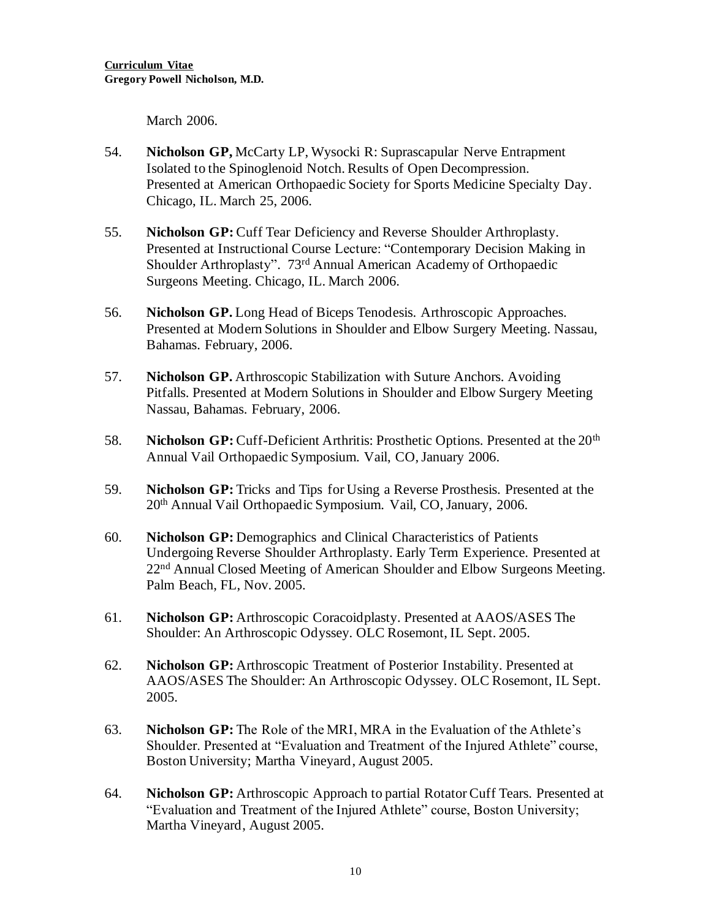March 2006.

- 54. **Nicholson GP,** McCarty LP, Wysocki R: Suprascapular Nerve Entrapment Isolated to the Spinoglenoid Notch. Results of Open Decompression. Presented at American Orthopaedic Society for Sports Medicine Specialty Day. Chicago, IL. March 25, 2006.
- 55. **Nicholson GP:** Cuff Tear Deficiency and Reverse Shoulder Arthroplasty. Presented at Instructional Course Lecture: "Contemporary Decision Making in Shoulder Arthroplasty". 73rd Annual American Academy of Orthopaedic Surgeons Meeting. Chicago, IL. March 2006.
- 56. **Nicholson GP.** Long Head of Biceps Tenodesis. Arthroscopic Approaches. Presented at Modern Solutions in Shoulder and Elbow Surgery Meeting. Nassau, Bahamas. February, 2006.
- 57. **Nicholson GP.** Arthroscopic Stabilization with Suture Anchors. Avoiding Pitfalls. Presented at Modern Solutions in Shoulder and Elbow Surgery Meeting Nassau, Bahamas. February, 2006.
- 58. Nicholson GP: Cuff-Deficient Arthritis: Prosthetic Options. Presented at the 20<sup>th</sup> Annual Vail Orthopaedic Symposium. Vail, CO, January 2006.
- 59. **Nicholson GP:** Tricks and Tips for Using a Reverse Prosthesis. Presented at the 20th Annual Vail Orthopaedic Symposium. Vail, CO, January, 2006.
- 60. **Nicholson GP:** Demographics and Clinical Characteristics of Patients Undergoing Reverse Shoulder Arthroplasty. Early Term Experience. Presented at 22<sup>nd</sup> Annual Closed Meeting of American Shoulder and Elbow Surgeons Meeting. Palm Beach, FL, Nov. 2005.
- 61. **Nicholson GP:** Arthroscopic Coracoidplasty. Presented at AAOS/ASES The Shoulder: An Arthroscopic Odyssey. OLC Rosemont, IL Sept. 2005.
- 62. **Nicholson GP:** Arthroscopic Treatment of Posterior Instability. Presented at AAOS/ASES The Shoulder: An Arthroscopic Odyssey. OLC Rosemont, IL Sept. 2005.
- 63. **Nicholson GP:** The Role of the MRI, MRA in the Evaluation of the Athlete's Shoulder. Presented at "Evaluation and Treatment of the Injured Athlete" course, Boston University; Martha Vineyard, August 2005.
- 64. **Nicholson GP:** Arthroscopic Approach to partial Rotator Cuff Tears. Presented at "Evaluation and Treatment of the Injured Athlete" course, Boston University; Martha Vineyard, August 2005.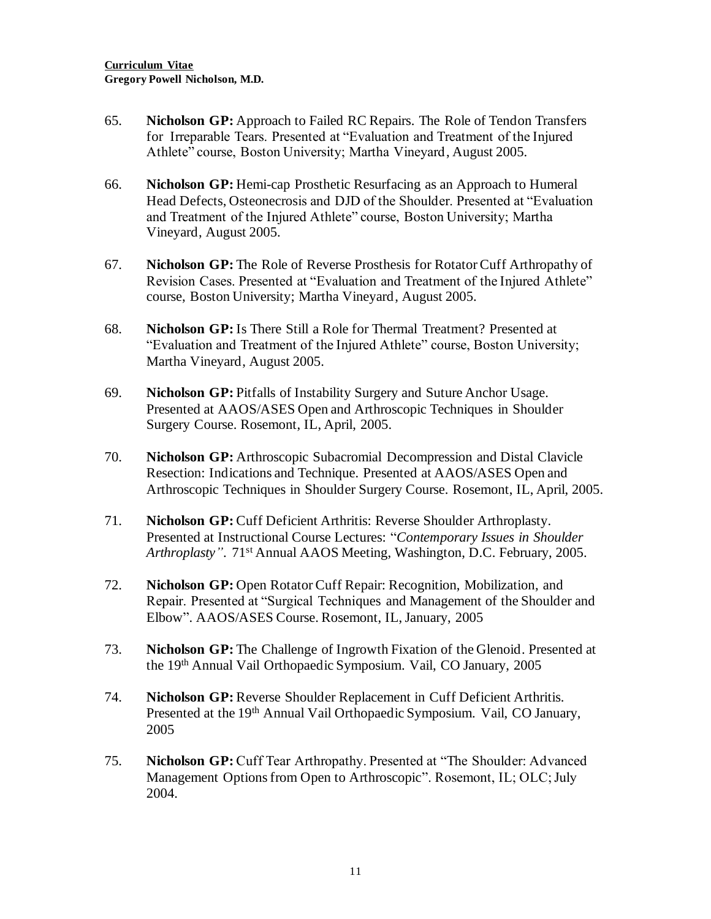- 65. **Nicholson GP:** Approach to Failed RC Repairs. The Role of Tendon Transfers for Irreparable Tears. Presented at "Evaluation and Treatment of the Injured Athlete" course, Boston University; Martha Vineyard, August 2005.
- 66. **Nicholson GP:** Hemi-cap Prosthetic Resurfacing as an Approach to Humeral Head Defects, Osteonecrosis and DJD of the Shoulder. Presented at "Evaluation and Treatment of the Injured Athlete" course, Boston University; Martha Vineyard, August 2005.
- 67. **Nicholson GP:** The Role of Reverse Prosthesis for Rotator Cuff Arthropathy of Revision Cases. Presented at "Evaluation and Treatment of the Injured Athlete" course, Boston University; Martha Vineyard, August 2005.
- 68. **Nicholson GP:** Is There Still a Role for Thermal Treatment? Presented at "Evaluation and Treatment of the Injured Athlete" course, Boston University; Martha Vineyard, August 2005.
- 69. **Nicholson GP:** Pitfalls of Instability Surgery and Suture Anchor Usage. Presented at AAOS/ASES Open and Arthroscopic Techniques in Shoulder Surgery Course. Rosemont, IL, April, 2005.
- 70. **Nicholson GP:** Arthroscopic Subacromial Decompression and Distal Clavicle Resection: Indications and Technique. Presented at AAOS/ASES Open and Arthroscopic Techniques in Shoulder Surgery Course. Rosemont, IL, April, 2005.
- 71. **Nicholson GP:** Cuff Deficient Arthritis: Reverse Shoulder Arthroplasty. Presented at Instructional Course Lectures: "*Contemporary Issues in Shoulder Arthroplasty"*. 71st Annual AAOS Meeting, Washington, D.C. February, 2005.
- 72. **Nicholson GP:** Open Rotator Cuff Repair: Recognition, Mobilization, and Repair. Presented at "Surgical Techniques and Management of the Shoulder and Elbow". AAOS/ASES Course. Rosemont, IL, January, 2005
- 73. **Nicholson GP:** The Challenge of Ingrowth Fixation of the Glenoid. Presented at the 19th Annual Vail Orthopaedic Symposium. Vail, CO January, 2005
- 74. **Nicholson GP:** Reverse Shoulder Replacement in Cuff Deficient Arthritis. Presented at the 19<sup>th</sup> Annual Vail Orthopaedic Symposium. Vail, CO January, 2005
- 75. **Nicholson GP:** Cuff Tear Arthropathy. Presented at "The Shoulder: Advanced Management Options from Open to Arthroscopic". Rosemont, IL; OLC; July 2004.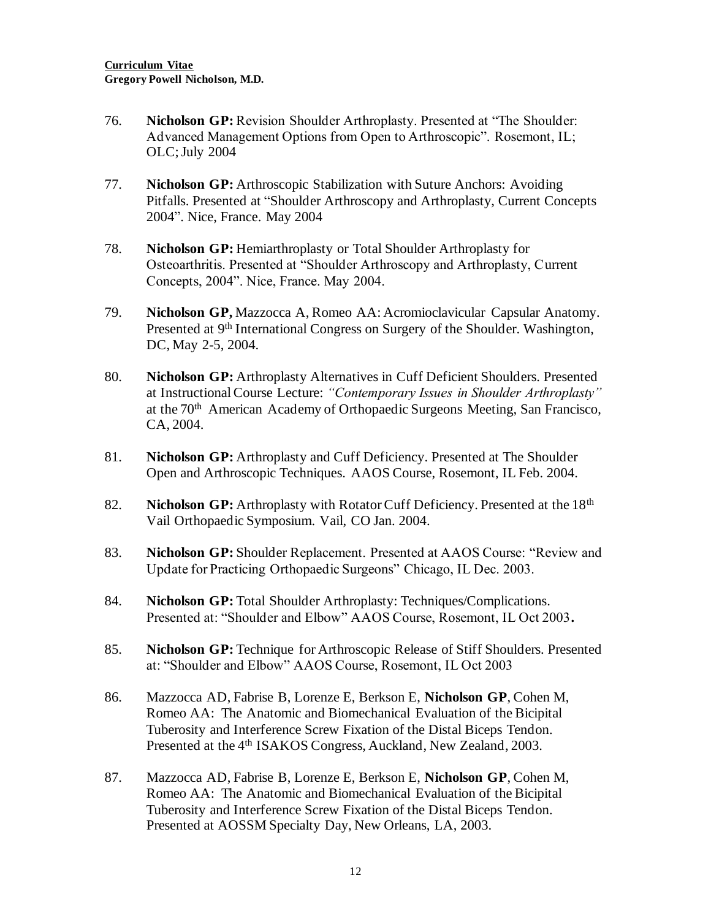- 76. **Nicholson GP:** Revision Shoulder Arthroplasty. Presented at "The Shoulder: Advanced Management Options from Open to Arthroscopic". Rosemont, IL; OLC; July 2004
- 77. **Nicholson GP:** Arthroscopic Stabilization with Suture Anchors: Avoiding Pitfalls. Presented at "Shoulder Arthroscopy and Arthroplasty, Current Concepts 2004". Nice, France. May 2004
- 78. **Nicholson GP:** Hemiarthroplasty or Total Shoulder Arthroplasty for Osteoarthritis. Presented at "Shoulder Arthroscopy and Arthroplasty, Current Concepts, 2004". Nice, France. May 2004.
- 79. **Nicholson GP,** Mazzocca A, Romeo AA: Acromioclavicular Capsular Anatomy. Presented at 9<sup>th</sup> International Congress on Surgery of the Shoulder. Washington, DC, May 2-5, 2004.
- 80. **Nicholson GP:** Arthroplasty Alternatives in Cuff Deficient Shoulders. Presented at Instructional Course Lecture: *"Contemporary Issues in Shoulder Arthroplasty"* at the 70th American Academy of Orthopaedic Surgeons Meeting, San Francisco, CA, 2004.
- 81. **Nicholson GP:** Arthroplasty and Cuff Deficiency. Presented at The Shoulder Open and Arthroscopic Techniques. AAOS Course, Rosemont, IL Feb. 2004.
- 82. **Nicholson GP:** Arthroplasty with Rotator Cuff Deficiency. Presented at the 18<sup>th</sup> Vail Orthopaedic Symposium. Vail, CO Jan. 2004.
- 83. **Nicholson GP:** Shoulder Replacement. Presented at AAOS Course: "Review and Update for Practicing Orthopaedic Surgeons" Chicago, IL Dec. 2003.
- 84. Nicholson GP: Total Shoulder Arthroplasty: Techniques/Complications. Presented at: "Shoulder and Elbow" AAOS Course, Rosemont, IL Oct 2003**.**
- 85. **Nicholson GP:** Technique for Arthroscopic Release of Stiff Shoulders. Presented at: "Shoulder and Elbow" AAOS Course, Rosemont, IL Oct 2003
- 86. Mazzocca AD, Fabrise B, Lorenze E, Berkson E, **Nicholson GP**, Cohen M, Romeo AA: The Anatomic and Biomechanical Evaluation of the Bicipital Tuberosity and Interference Screw Fixation of the Distal Biceps Tendon. Presented at the 4<sup>th</sup> ISAKOS Congress, Auckland, New Zealand, 2003.
- 87. Mazzocca AD, Fabrise B, Lorenze E, Berkson E, **Nicholson GP**, Cohen M, Romeo AA: The Anatomic and Biomechanical Evaluation of the Bicipital Tuberosity and Interference Screw Fixation of the Distal Biceps Tendon. Presented at AOSSM Specialty Day, New Orleans, LA, 2003.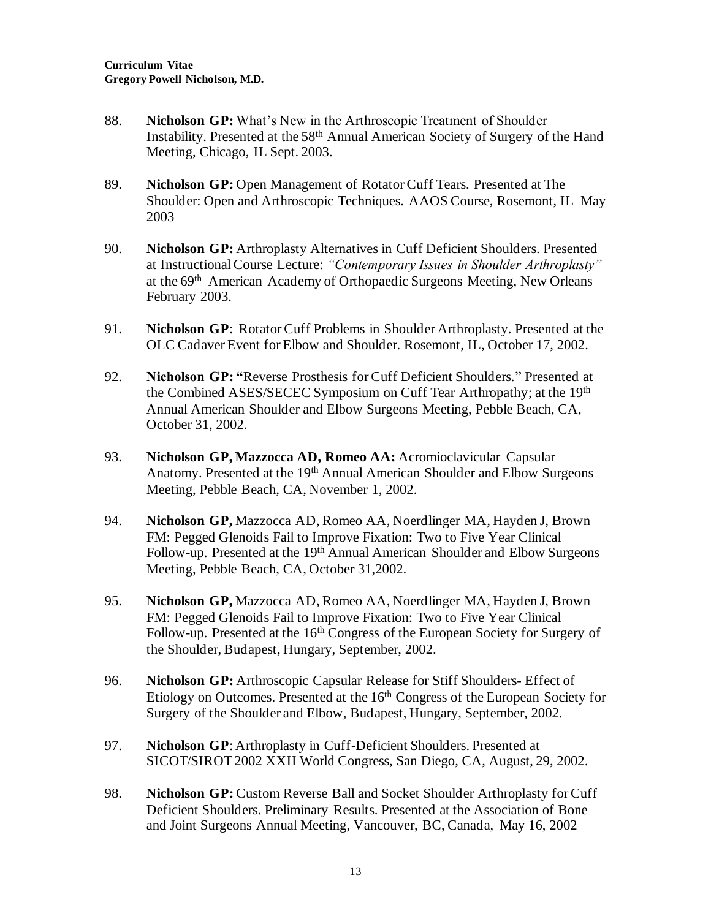- 88. **Nicholson GP:** What's New in the Arthroscopic Treatment of Shoulder Instability. Presented at the 58<sup>th</sup> Annual American Society of Surgery of the Hand Meeting, Chicago, IL Sept. 2003.
- 89. **Nicholson GP:** Open Management of Rotator Cuff Tears. Presented at The Shoulder: Open and Arthroscopic Techniques. AAOS Course, Rosemont, IL May 2003
- 90. **Nicholson GP:** Arthroplasty Alternatives in Cuff Deficient Shoulders. Presented at Instructional Course Lecture: *"Contemporary Issues in Shoulder Arthroplasty"* at the 69th American Academy of Orthopaedic Surgeons Meeting, New Orleans February 2003.
- 91. **Nicholson GP**: Rotator Cuff Problems in Shoulder Arthroplasty. Presented at the OLC Cadaver Event for Elbow and Shoulder. Rosemont, IL, October 17, 2002.
- 92. **Nicholson GP: "**Reverse Prosthesis for Cuff Deficient Shoulders." Presented at the Combined ASES/SECEC Symposium on Cuff Tear Arthropathy; at the 19th Annual American Shoulder and Elbow Surgeons Meeting, Pebble Beach, CA, October 31, 2002.
- 93. **Nicholson GP, Mazzocca AD, Romeo AA:** Acromioclavicular Capsular Anatomy. Presented at the 19<sup>th</sup> Annual American Shoulder and Elbow Surgeons Meeting, Pebble Beach, CA, November 1, 2002.
- 94. **Nicholson GP,** Mazzocca AD, Romeo AA, Noerdlinger MA, Hayden J, Brown FM: Pegged Glenoids Fail to Improve Fixation: Two to Five Year Clinical Follow-up. Presented at the 19<sup>th</sup> Annual American Shoulder and Elbow Surgeons Meeting, Pebble Beach, CA, October 31,2002.
- 95. **Nicholson GP,** Mazzocca AD, Romeo AA, Noerdlinger MA, Hayden J, Brown FM: Pegged Glenoids Fail to Improve Fixation: Two to Five Year Clinical Follow-up. Presented at the 16<sup>th</sup> Congress of the European Society for Surgery of the Shoulder, Budapest, Hungary, September, 2002.
- 96. **Nicholson GP:** Arthroscopic Capsular Release for Stiff Shoulders- Effect of Etiology on Outcomes. Presented at the 16<sup>th</sup> Congress of the European Society for Surgery of the Shoulder and Elbow, Budapest, Hungary, September, 2002.
- 97. **Nicholson GP**: Arthroplasty in Cuff-Deficient Shoulders. Presented at SICOT/SIROT 2002 XXII World Congress, San Diego, CA, August, 29, 2002.
- 98. **Nicholson GP:** Custom Reverse Ball and Socket Shoulder Arthroplasty for Cuff Deficient Shoulders. Preliminary Results. Presented at the Association of Bone and Joint Surgeons Annual Meeting, Vancouver, BC, Canada, May 16, 2002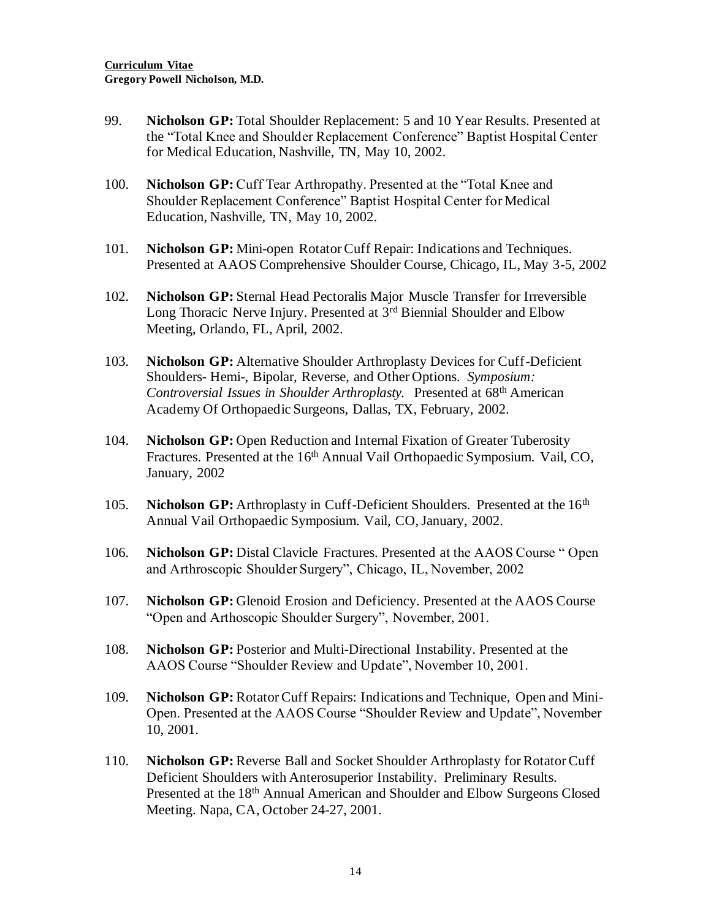- 99. **Nicholson GP:** Total Shoulder Replacement: 5 and 10 Year Results. Presented at the "Total Knee and Shoulder Replacement Conference" Baptist Hospital Center for Medical Education, Nashville, TN, May 10, 2002.
- 100. **Nicholson GP:** Cuff Tear Arthropathy. Presented at the "Total Knee and Shoulder Replacement Conference" Baptist Hospital Center for Medical Education, Nashville, TN, May 10, 2002.
- 101. **Nicholson GP:** Mini-open Rotator Cuff Repair: Indications and Techniques. Presented at AAOS Comprehensive Shoulder Course, Chicago, IL, May 3-5, 2002
- 102. **Nicholson GP:** Sternal Head Pectoralis Major Muscle Transfer for Irreversible Long Thoracic Nerve Injury. Presented at 3<sup>rd</sup> Biennial Shoulder and Elbow Meeting, Orlando, FL, April, 2002.
- 103. **Nicholson GP:** Alternative Shoulder Arthroplasty Devices for Cuff-Deficient Shoulders- Hemi-, Bipolar, Reverse, and Other Options. *Symposium: Controversial Issues in Shoulder Arthroplasty.* Presented at 68th American Academy Of Orthopaedic Surgeons, Dallas, TX, February, 2002.
- 104. **Nicholson GP:** Open Reduction and Internal Fixation of Greater Tuberosity Fractures. Presented at the 16<sup>th</sup> Annual Vail Orthopaedic Symposium. Vail, CO, January, 2002
- 105. **Nicholson GP:** Arthroplasty in Cuff-Deficient Shoulders. Presented at the 16th Annual Vail Orthopaedic Symposium. Vail, CO, January, 2002.
- 106. **Nicholson GP:** Distal Clavicle Fractures. Presented at the AAOS Course " Open and Arthroscopic Shoulder Surgery", Chicago, IL, November, 2002
- 107. **Nicholson GP:** Glenoid Erosion and Deficiency. Presented at the AAOS Course "Open and Arthoscopic Shoulder Surgery", November, 2001.
- 108. **Nicholson GP:** Posterior and Multi-Directional Instability. Presented at the AAOS Course "Shoulder Review and Update", November 10, 2001.
- 109. **Nicholson GP:** Rotator Cuff Repairs: Indications and Technique, Open and Mini-Open. Presented at the AAOS Course "Shoulder Review and Update", November 10, 2001.
- 110. **Nicholson GP:** Reverse Ball and Socket Shoulder Arthroplasty for Rotator Cuff Deficient Shoulders with Anterosuperior Instability. Preliminary Results. Presented at the 18<sup>th</sup> Annual American and Shoulder and Elbow Surgeons Closed Meeting. Napa, CA, October 24-27, 2001.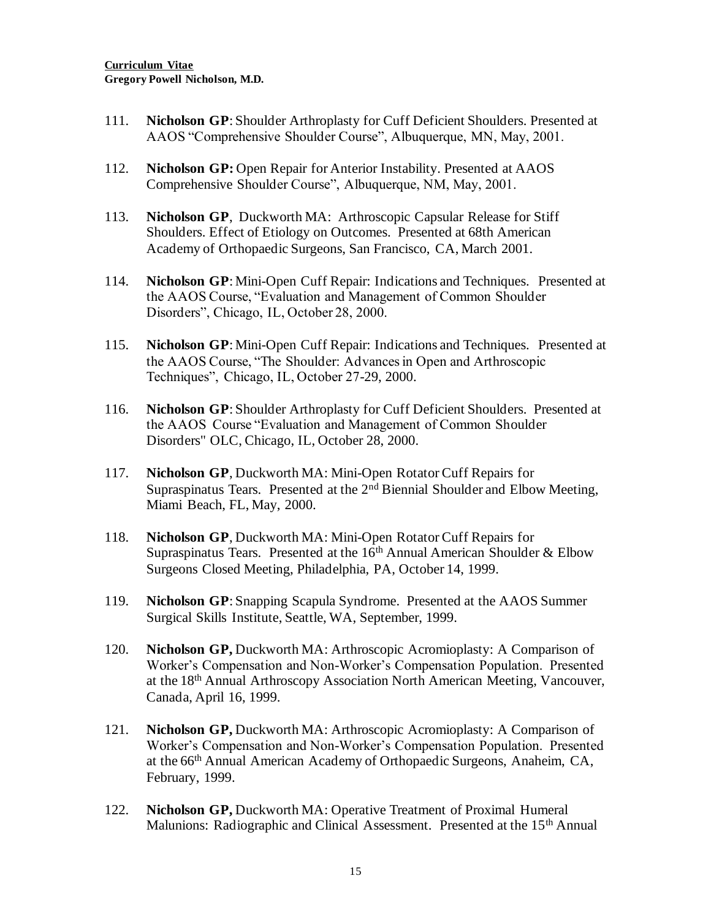- 111. **Nicholson GP**: Shoulder Arthroplasty for Cuff Deficient Shoulders. Presented at AAOS "Comprehensive Shoulder Course", Albuquerque, MN, May, 2001.
- 112. **Nicholson GP:** Open Repair for Anterior Instability. Presented at AAOS Comprehensive Shoulder Course", Albuquerque, NM, May, 2001.
- 113. **Nicholson GP**, Duckworth MA: Arthroscopic Capsular Release for Stiff Shoulders. Effect of Etiology on Outcomes. Presented at 68th American Academy of Orthopaedic Surgeons, San Francisco, CA, March 2001.
- 114. **Nicholson GP**: Mini-Open Cuff Repair: Indications and Techniques. Presented at the AAOS Course, "Evaluation and Management of Common Shoulder Disorders", Chicago, IL, October 28, 2000.
- 115. **Nicholson GP**: Mini-Open Cuff Repair: Indications and Techniques. Presented at the AAOS Course, "The Shoulder: Advances in Open and Arthroscopic Techniques", Chicago, IL, October 27-29, 2000.
- 116. **Nicholson GP**: Shoulder Arthroplasty for Cuff Deficient Shoulders. Presented at the AAOS Course "Evaluation and Management of Common Shoulder Disorders" OLC, Chicago, IL, October 28, 2000.
- 117. **Nicholson GP**, Duckworth MA: Mini-Open Rotator Cuff Repairs for Supraspinatus Tears. Presented at the 2<sup>nd</sup> Biennial Shoulder and Elbow Meeting, Miami Beach, FL, May, 2000.
- 118. **Nicholson GP**, Duckworth MA: Mini-Open Rotator Cuff Repairs for Supraspinatus Tears. Presented at the  $16<sup>th</sup>$  Annual American Shoulder & Elbow Surgeons Closed Meeting, Philadelphia, PA, October 14, 1999.
- 119. **Nicholson GP**: Snapping Scapula Syndrome. Presented at the AAOS Summer Surgical Skills Institute, Seattle, WA, September, 1999.
- 120. **Nicholson GP,** Duckworth MA: Arthroscopic Acromioplasty: A Comparison of Worker's Compensation and Non-Worker's Compensation Population. Presented at the 18th Annual Arthroscopy Association North American Meeting, Vancouver, Canada, April 16, 1999.
- 121. **Nicholson GP,** Duckworth MA: Arthroscopic Acromioplasty: A Comparison of Worker's Compensation and Non-Worker's Compensation Population. Presented at the 66th Annual American Academy of Orthopaedic Surgeons, Anaheim, CA, February, 1999.
- 122. **Nicholson GP,** Duckworth MA: Operative Treatment of Proximal Humeral Malunions: Radiographic and Clinical Assessment. Presented at the 15<sup>th</sup> Annual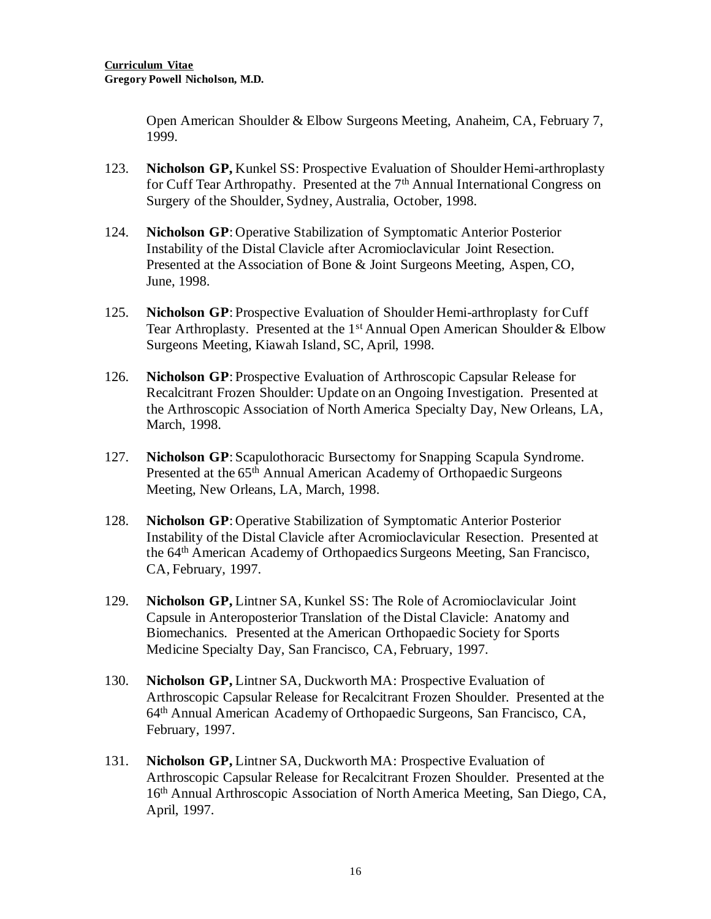Open American Shoulder & Elbow Surgeons Meeting, Anaheim, CA, February 7, 1999.

- 123. **Nicholson GP,** Kunkel SS: Prospective Evaluation of Shoulder Hemi-arthroplasty for Cuff Tear Arthropathy. Presented at the 7<sup>th</sup> Annual International Congress on Surgery of the Shoulder, Sydney, Australia, October, 1998.
- 124. **Nicholson GP**: Operative Stabilization of Symptomatic Anterior Posterior Instability of the Distal Clavicle after Acromioclavicular Joint Resection. Presented at the Association of Bone & Joint Surgeons Meeting, Aspen, CO, June, 1998.
- 125. **Nicholson GP**: Prospective Evaluation of Shoulder Hemi-arthroplasty for Cuff Tear Arthroplasty. Presented at the  $1<sup>st</sup>$  Annual Open American Shoulder & Elbow Surgeons Meeting, Kiawah Island, SC, April, 1998.
- 126. **Nicholson GP**: Prospective Evaluation of Arthroscopic Capsular Release for Recalcitrant Frozen Shoulder: Update on an Ongoing Investigation. Presented at the Arthroscopic Association of North America Specialty Day, New Orleans, LA, March, 1998.
- 127. **Nicholson GP**: Scapulothoracic Bursectomy for Snapping Scapula Syndrome. Presented at the 65<sup>th</sup> Annual American Academy of Orthopaedic Surgeons Meeting, New Orleans, LA, March, 1998.
- 128. **Nicholson GP**: Operative Stabilization of Symptomatic Anterior Posterior Instability of the Distal Clavicle after Acromioclavicular Resection. Presented at the 64th American Academy of Orthopaedics Surgeons Meeting, San Francisco, CA, February, 1997.
- 129. **Nicholson GP,** Lintner SA, Kunkel SS: The Role of Acromioclavicular Joint Capsule in Anteroposterior Translation of the Distal Clavicle: Anatomy and Biomechanics. Presented at the American Orthopaedic Society for Sports Medicine Specialty Day, San Francisco, CA, February, 1997.
- 130. **Nicholson GP,** Lintner SA, Duckworth MA: Prospective Evaluation of Arthroscopic Capsular Release for Recalcitrant Frozen Shoulder. Presented at the 64th Annual American Academy of Orthopaedic Surgeons, San Francisco, CA, February, 1997.
- 131. **Nicholson GP,** Lintner SA, Duckworth MA: Prospective Evaluation of Arthroscopic Capsular Release for Recalcitrant Frozen Shoulder. Presented at the 16th Annual Arthroscopic Association of North America Meeting, San Diego, CA, April, 1997.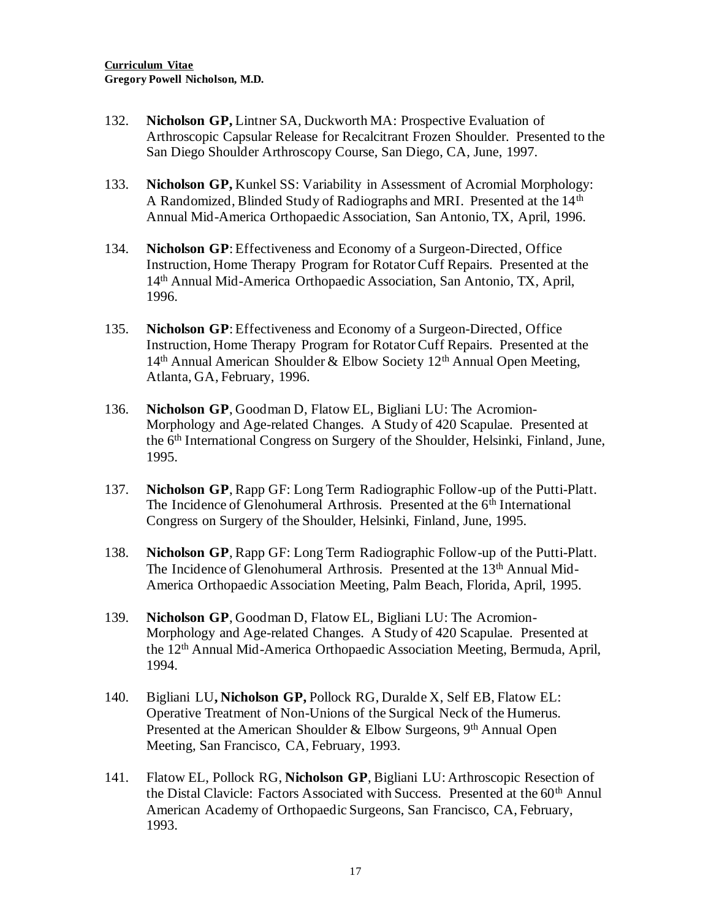- 132. **Nicholson GP,** Lintner SA, Duckworth MA: Prospective Evaluation of Arthroscopic Capsular Release for Recalcitrant Frozen Shoulder. Presented to the San Diego Shoulder Arthroscopy Course, San Diego, CA, June, 1997.
- 133. **Nicholson GP,** Kunkel SS: Variability in Assessment of Acromial Morphology: A Randomized, Blinded Study of Radiographs and MRI. Presented at the 14th Annual Mid-America Orthopaedic Association, San Antonio, TX, April, 1996.
- 134. **Nicholson GP**: Effectiveness and Economy of a Surgeon-Directed, Office Instruction, Home Therapy Program for Rotator Cuff Repairs. Presented at the 14th Annual Mid-America Orthopaedic Association, San Antonio, TX, April, 1996.
- 135. **Nicholson GP**: Effectiveness and Economy of a Surgeon-Directed, Office Instruction, Home Therapy Program for Rotator Cuff Repairs. Presented at the  $14<sup>th</sup>$  Annual American Shoulder & Elbow Society  $12<sup>th</sup>$  Annual Open Meeting, Atlanta, GA, February, 1996.
- 136. **Nicholson GP**, Goodman D, Flatow EL, Bigliani LU: The Acromion-Morphology and Age-related Changes. A Study of 420 Scapulae. Presented at the 6th International Congress on Surgery of the Shoulder, Helsinki, Finland, June, 1995.
- 137. **Nicholson GP**, Rapp GF: Long Term Radiographic Follow-up of the Putti-Platt. The Incidence of Glenohumeral Arthrosis. Presented at the 6<sup>th</sup> International Congress on Surgery of the Shoulder, Helsinki, Finland, June, 1995.
- 138. **Nicholson GP**, Rapp GF: Long Term Radiographic Follow-up of the Putti-Platt. The Incidence of Glenohumeral Arthrosis. Presented at the 13<sup>th</sup> Annual Mid-America Orthopaedic Association Meeting, Palm Beach, Florida, April, 1995.
- 139. **Nicholson GP**, Goodman D, Flatow EL, Bigliani LU: The Acromion-Morphology and Age-related Changes. A Study of 420 Scapulae. Presented at the 12th Annual Mid-America Orthopaedic Association Meeting, Bermuda, April, 1994.
- 140. Bigliani LU**, Nicholson GP,** Pollock RG, Duralde X, Self EB, Flatow EL: Operative Treatment of Non-Unions of the Surgical Neck of the Humerus. Presented at the American Shoulder & Elbow Surgeons, 9<sup>th</sup> Annual Open Meeting, San Francisco, CA, February, 1993.
- 141. Flatow EL, Pollock RG, **Nicholson GP**, Bigliani LU: Arthroscopic Resection of the Distal Clavicle: Factors Associated with Success. Presented at the  $60<sup>th</sup>$  Annul American Academy of Orthopaedic Surgeons, San Francisco, CA, February, 1993.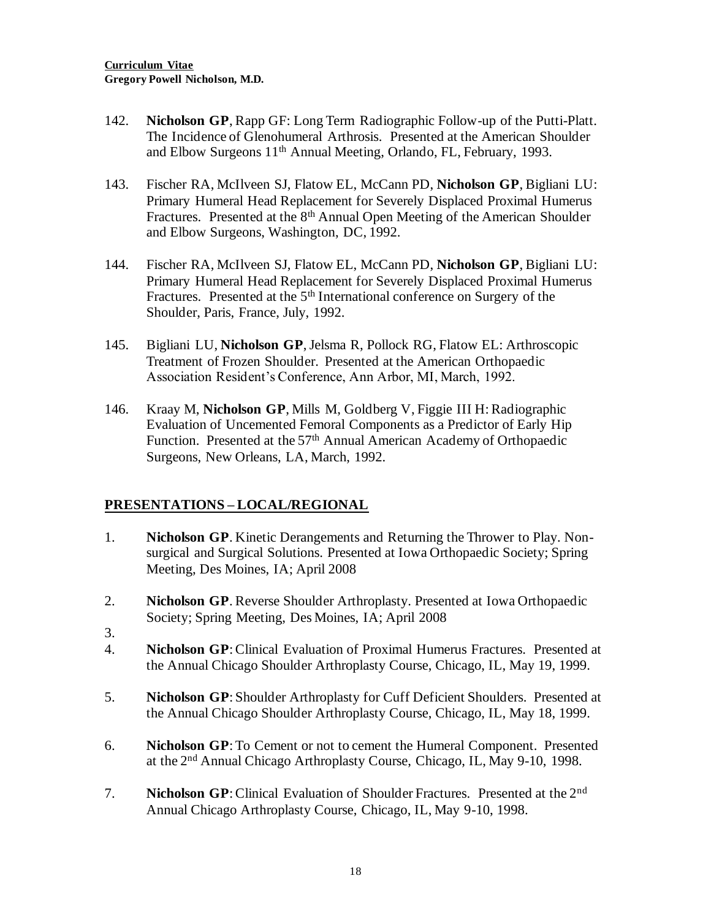- 142. **Nicholson GP**, Rapp GF: Long Term Radiographic Follow-up of the Putti-Platt. The Incidence of Glenohumeral Arthrosis. Presented at the American Shoulder and Elbow Surgeons 11th Annual Meeting, Orlando, FL, February, 1993.
- 143. Fischer RA, McIlveen SJ, Flatow EL, McCann PD, **Nicholson GP**, Bigliani LU: Primary Humeral Head Replacement for Severely Displaced Proximal Humerus Fractures. Presented at the 8<sup>th</sup> Annual Open Meeting of the American Shoulder and Elbow Surgeons, Washington, DC, 1992.
- 144. Fischer RA, McIlveen SJ, Flatow EL, McCann PD, **Nicholson GP**, Bigliani LU: Primary Humeral Head Replacement for Severely Displaced Proximal Humerus Fractures. Presented at the 5<sup>th</sup> International conference on Surgery of the Shoulder, Paris, France, July, 1992.
- 145. Bigliani LU, **Nicholson GP**, Jelsma R, Pollock RG, Flatow EL: Arthroscopic Treatment of Frozen Shoulder. Presented at the American Orthopaedic Association Resident's Conference, Ann Arbor, MI, March, 1992.
- 146. Kraay M, **Nicholson GP**, Mills M, Goldberg V, Figgie III H: Radiographic Evaluation of Uncemented Femoral Components as a Predictor of Early Hip Function. Presented at the 57<sup>th</sup> Annual American Academy of Orthopaedic Surgeons, New Orleans, LA, March, 1992.

### **PRESENTATIONS – LOCAL/REGIONAL**

- 1. **Nicholson GP**. Kinetic Derangements and Returning the Thrower to Play. Nonsurgical and Surgical Solutions. Presented at Iowa Orthopaedic Society; Spring Meeting, Des Moines, IA; April 2008
- 2. **Nicholson GP**. Reverse Shoulder Arthroplasty. Presented at Iowa Orthopaedic Society; Spring Meeting, Des Moines, IA; April 2008
- 3.
- 4. **Nicholson GP**: Clinical Evaluation of Proximal Humerus Fractures. Presented at the Annual Chicago Shoulder Arthroplasty Course, Chicago, IL, May 19, 1999.
- 5. **Nicholson GP**: Shoulder Arthroplasty for Cuff Deficient Shoulders. Presented at the Annual Chicago Shoulder Arthroplasty Course, Chicago, IL, May 18, 1999.
- 6. **Nicholson GP**: To Cement or not to cement the Humeral Component. Presented at the 2nd Annual Chicago Arthroplasty Course, Chicago, IL, May 9-10, 1998.
- 7. **Nicholson GP**: Clinical Evaluation of Shoulder Fractures. Presented at the 2nd Annual Chicago Arthroplasty Course, Chicago, IL, May 9-10, 1998.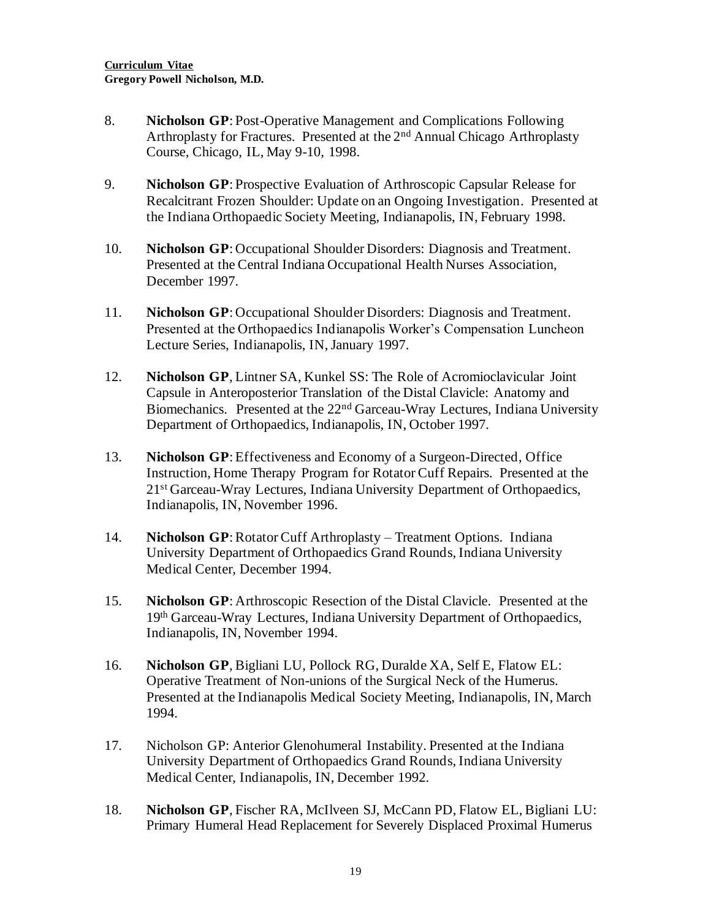- 8. **Nicholson GP**: Post-Operative Management and Complications Following Arthroplasty for Fractures. Presented at the 2<sup>nd</sup> Annual Chicago Arthroplasty Course, Chicago, IL, May 9-10, 1998.
- 9. **Nicholson GP**: Prospective Evaluation of Arthroscopic Capsular Release for Recalcitrant Frozen Shoulder: Update on an Ongoing Investigation. Presented at the Indiana Orthopaedic Society Meeting, Indianapolis, IN, February 1998.
- 10. **Nicholson GP**: Occupational Shoulder Disorders: Diagnosis and Treatment. Presented at the Central Indiana Occupational Health Nurses Association, December 1997.
- 11. **Nicholson GP**: Occupational Shoulder Disorders: Diagnosis and Treatment. Presented at the Orthopaedics Indianapolis Worker's Compensation Luncheon Lecture Series, Indianapolis, IN, January 1997.
- 12. **Nicholson GP**, Lintner SA, Kunkel SS: The Role of Acromioclavicular Joint Capsule in Anteroposterior Translation of the Distal Clavicle: Anatomy and Biomechanics. Presented at the 22nd Garceau-Wray Lectures, Indiana University Department of Orthopaedics, Indianapolis, IN, October 1997.
- 13. **Nicholson GP**: Effectiveness and Economy of a Surgeon-Directed, Office Instruction, Home Therapy Program for Rotator Cuff Repairs. Presented at the 21<sup>st</sup> Garceau-Wray Lectures, Indiana University Department of Orthopaedics, Indianapolis, IN, November 1996.
- 14. **Nicholson GP**: Rotator Cuff Arthroplasty Treatment Options. Indiana University Department of Orthopaedics Grand Rounds, Indiana University Medical Center, December 1994.
- 15. **Nicholson GP**: Arthroscopic Resection of the Distal Clavicle. Presented at the 19th Garceau-Wray Lectures, Indiana University Department of Orthopaedics, Indianapolis, IN, November 1994.
- 16. **Nicholson GP**, Bigliani LU, Pollock RG, Duralde XA, Self E, Flatow EL: Operative Treatment of Non-unions of the Surgical Neck of the Humerus. Presented at the Indianapolis Medical Society Meeting, Indianapolis, IN, March 1994.
- 17. Nicholson GP: Anterior Glenohumeral Instability. Presented at the Indiana University Department of Orthopaedics Grand Rounds, Indiana University Medical Center, Indianapolis, IN, December 1992.
- 18. **Nicholson GP**, Fischer RA, McIlveen SJ, McCann PD, Flatow EL, Bigliani LU: Primary Humeral Head Replacement for Severely Displaced Proximal Humerus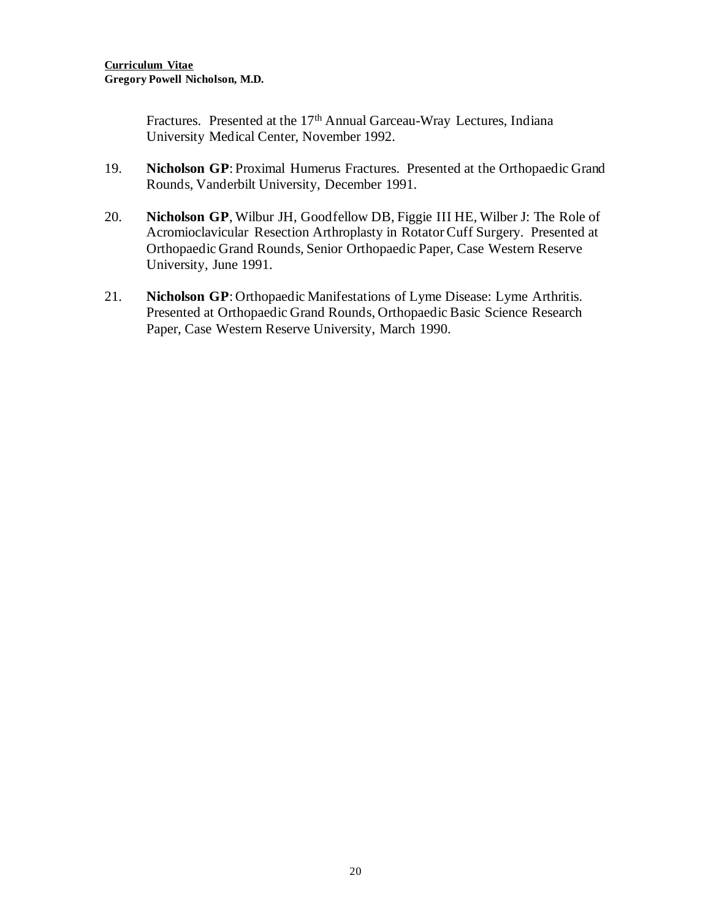Fractures. Presented at the 17<sup>th</sup> Annual Garceau-Wray Lectures, Indiana University Medical Center, November 1992.

- 19. **Nicholson GP**: Proximal Humerus Fractures. Presented at the Orthopaedic Grand Rounds, Vanderbilt University, December 1991.
- 20. **Nicholson GP**, Wilbur JH, Goodfellow DB, Figgie III HE, Wilber J: The Role of Acromioclavicular Resection Arthroplasty in Rotator Cuff Surgery. Presented at Orthopaedic Grand Rounds, Senior Orthopaedic Paper, Case Western Reserve University, June 1991.
- 21. **Nicholson GP**: Orthopaedic Manifestations of Lyme Disease: Lyme Arthritis. Presented at Orthopaedic Grand Rounds, Orthopaedic Basic Science Research Paper, Case Western Reserve University, March 1990.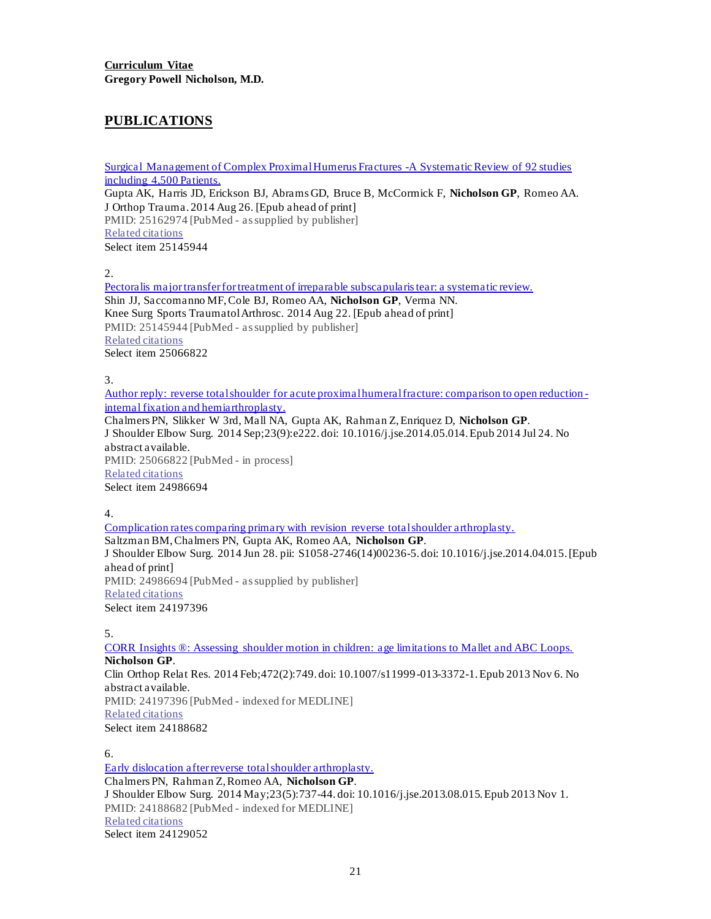### **PUBLICATIONS**

Surgical Management of Complex Proximal Humerus Fractures -A Systematic Review of 92 studies including 4,500 Patients. Gupta AK, Harris JD, Erickson BJ, Abrams GD, Bruce B, McCormick F, **Nicholson GP**, Romeo AA. J Orthop Trauma. 2014 Aug 26. [Epub ahead of print] PMID: 25162974 [PubMed - as supplied by publisher] Related citations Select item 25145944

2.

Pectoralis major transfer for treatment of irreparable subscapularis tear: a systematic review. Shin JJ, Saccomanno MF, Cole BJ, Romeo AA, **Nicholson GP**, Verma NN. Knee Surg Sports Traumatol Arthrosc. 2014 Aug 22. [Epub ahead of print] PMID: 25145944 [PubMed - as supplied by publisher] Related citations Select item 25066822

3.

Author reply: reverse total shoulder for acute proximal humeral fracture: comparison to open reduction internal fixation and hemiarthroplasty.

Chalmers PN, Slikker W 3rd, Mall NA, Gupta AK, Rahman Z, Enriquez D, **Nicholson GP**. J Shoulder Elbow Surg. 2014 Sep;23(9):e222. doi: 10.1016/j.jse.2014.05.014. Epub 2014 Jul 24. No abstract available. PMID: 25066822 [PubMed - in process] Related citations Select item 24986694

4.

Complication rates comparing primary with revision reverse total shoulder arthroplasty. Saltzman BM, Chalmers PN, Gupta AK, Romeo AA, **Nicholson GP**. J Shoulder Elbow Surg. 2014 Jun 28. pii: S1058-2746(14)00236-5. doi: 10.1016/j.jse.2014.04.015. [Epub ahead of print] PMID: 24986694 [PubMed - as supplied by publisher] Related citations Select item 24197396

5.

CORR Insights ®: Assessing shoulder motion in children: age limitations to Mallet and ABC Loops. **Nicholson GP**. Clin Orthop Relat Res. 2014 Feb;472(2):749. doi: 10.1007/s11999-013-3372-1. Epub 2013 Nov 6. No abstract available. PMID: 24197396 [PubMed - indexed for MEDLINE] Related citations Select item 24188682

6.

Early dislocation after reverse total shoulder arthroplasty. Chalmers PN, Rahman Z, Romeo AA, **Nicholson GP**. J Shoulder Elbow Surg. 2014 May;23(5):737-44. doi: 10.1016/j.jse.2013.08.015. Epub 2013 Nov 1. PMID: 24188682 [PubMed - indexed for MEDLINE] Related citations Select item 24129052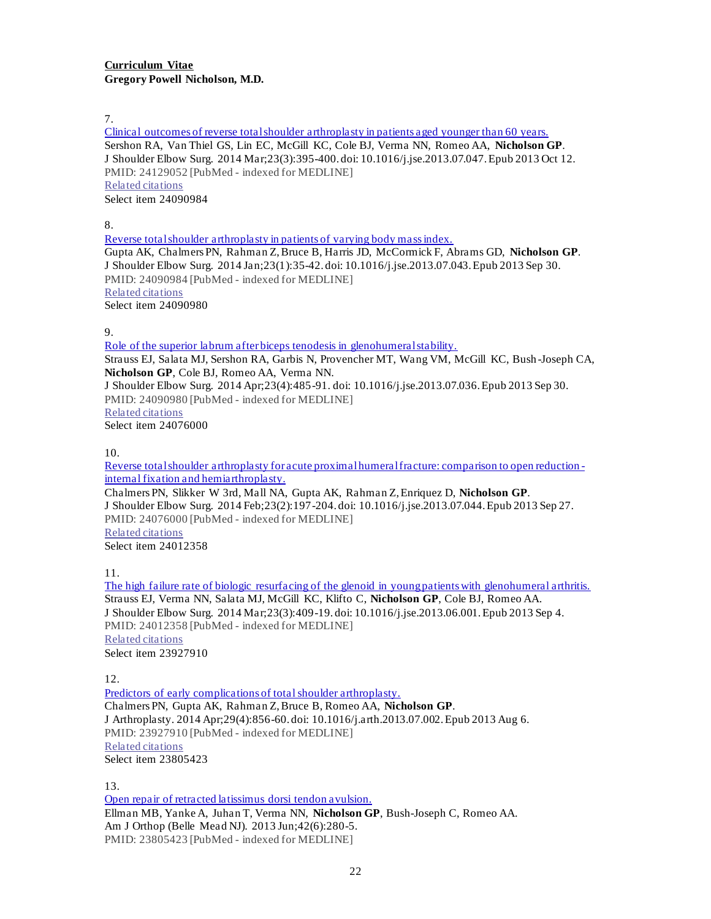7.

Clinical outcomes of reverse total shoulder arthroplasty in patients aged younger than 60 years. Sershon RA, Van Thiel GS, Lin EC, McGill KC, Cole BJ, Verma NN, Romeo AA, **Nicholson GP**. J Shoulder Elbow Surg. 2014 Mar;23(3):395-400. doi: 10.1016/j.jse.2013.07.047. Epub 2013 Oct 12. PMID: 24129052 [PubMed - indexed for MEDLINE] Related citations Select item 24090984

8.

Reverse total shoulder arthroplasty in patients of varying body mass index. Gupta AK, Chalmers PN, Rahman Z, Bruce B, Harris JD, McCormick F, Abrams GD, **Nicholson GP**. J Shoulder Elbow Surg. 2014 Jan;23(1):35-42. doi: 10.1016/j.jse.2013.07.043. Epub 2013 Sep 30. PMID: 24090984 [PubMed - indexed for MEDLINE] Related citations Select item 24090980

9.

Role of the superior labrum after biceps tenodesis in glenohumeral stability.

Strauss EJ, Salata MJ, Sershon RA, Garbis N, Provencher MT, Wang VM, McGill KC, Bush -Joseph CA, **Nicholson GP**, Cole BJ, Romeo AA, Verma NN. J Shoulder Elbow Surg. 2014 Apr;23(4):485-91. doi: 10.1016/j.jse.2013.07.036. Epub 2013 Sep 30.

PMID: 24090980 [PubMed - indexed for MEDLINE]

Related citations

Select item 24076000

10.

Reverse total shoulder arthroplasty for acute proximal humeral fracture: comparison to open reduction internal fixation and hemiarthroplasty.

Chalmers PN, Slikker W 3rd, Mall NA, Gupta AK, Rahman Z, Enriquez D, **Nicholson GP**. J Shoulder Elbow Surg. 2014 Feb;23(2):197-204. doi: 10.1016/j.jse.2013.07.044. Epub 2013 Sep 27. PMID: 24076000 [PubMed - indexed for MEDLINE]

Related citations Select item 24012358

11.

The high failure rate of biologic resurfacing of the glenoid in young patients with glenohumeral arthritis. Strauss EJ, Verma NN, Salata MJ, McGill KC, Klifto C, **Nicholson GP**, Cole BJ, Romeo AA. J Shoulder Elbow Surg. 2014 Mar;23(3):409-19. doi: 10.1016/j.jse.2013.06.001. Epub 2013 Sep 4. PMID: 24012358 [PubMed - indexed for MEDLINE] Related citations Select item 23927910

12.

Predictors of early complications of total shoulder arthroplasty. Chalmers PN, Gupta AK, Rahman Z, Bruce B, Romeo AA, **Nicholson GP**. J Arthroplasty. 2014 Apr;29(4):856-60. doi: 10.1016/j.arth.2013.07.002. Epub 2013 Aug 6. PMID: 23927910 [PubMed - indexed for MEDLINE] Related citations Select item 23805423

13.

Open repair of retracted latissimus dorsi tendon avulsion. Ellman MB, Yanke A, Juhan T, Verma NN, **Nicholson GP**, Bush-Joseph C, Romeo AA. Am J Orthop (Belle Mead NJ). 2013 Jun;42(6):280-5. PMID: 23805423 [PubMed - indexed for MEDLINE]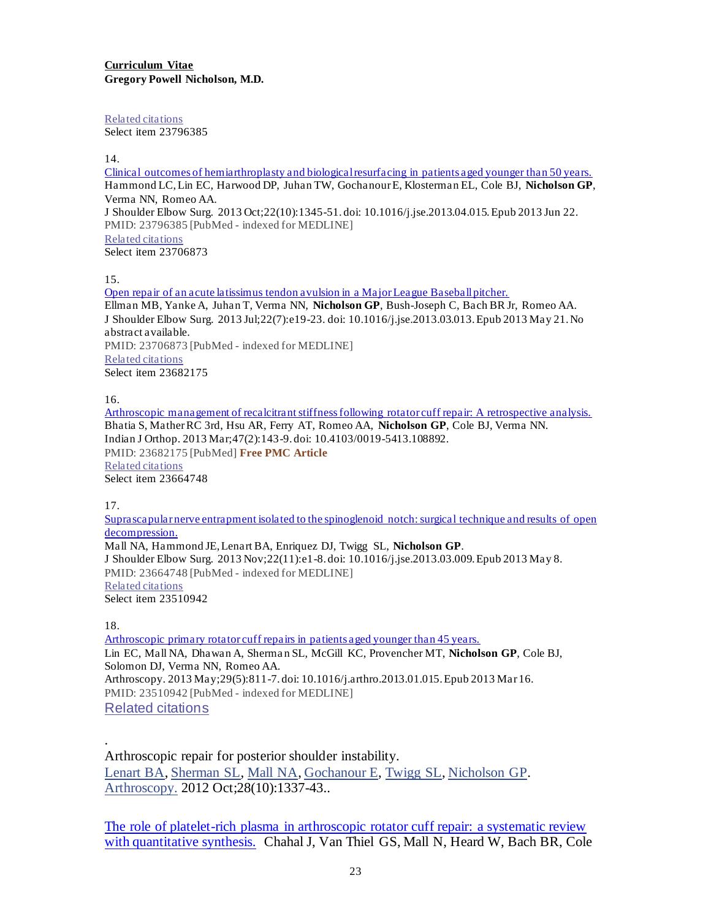Related citations Select item 23796385

14.

Clinical outcomes of hemiarthroplasty and biological resurfacing in patients aged younger than 50 years. Hammond LC, Lin EC, Harwood DP, Juhan TW, Gochanour E, Klosterman EL, Cole BJ, **Nicholson GP**, Verma NN, Romeo AA. J Shoulder Elbow Surg. 2013 Oct;22(10):1345-51. doi: 10.1016/j.jse.2013.04.015. Epub 2013 Jun 22. PMID: 23796385 [PubMed - indexed for MEDLINE] Related citations Select item 23706873

15.

Open repair of an acute latissimus tendon avulsion in a Major League Baseball pitcher. Ellman MB, Yanke A, Juhan T, Verma NN, **Nicholson GP**, Bush-Joseph C, Bach BR Jr, Romeo AA. J Shoulder Elbow Surg. 2013 Jul;22(7):e19-23. doi: 10.1016/j.jse.2013.03.013. Epub 2013 May 21. No abstract available. PMID: 23706873 [PubMed - indexed for MEDLINE] Related citations Select item 23682175

16.

Arthroscopic management of recalcitrant stiffness following rotator cuff repair: A retrospective analysis. Bhatia S, Mather RC 3rd, Hsu AR, Ferry AT, Romeo AA, **Nicholson GP**, Cole BJ, Verma NN. Indian J Orthop. 2013 Mar;47(2):143-9. doi: 10.4103/0019-5413.108892. PMID: 23682175 [PubMed] **Free PMC Article** Related citations Select item 23664748

17.

Suprascapular nerve entrapment isolated to the spinoglenoid notch: surgical technique and results of open decompression. Mall NA, Hammond JE, Lenart BA, Enriquez DJ, Twigg SL, **Nicholson GP**. J Shoulder Elbow Surg. 2013 Nov;22(11):e1-8. doi: 10.1016/j.jse.2013.03.009. Epub 2013 May 8. PMID: 23664748 [PubMed - indexed for MEDLINE] Related citations Select item 23510942

18.

.

Arthroscopic primary rotator cuff repairs in patients aged younger than 45 years. Lin EC, Mall NA, Dhawan A, Sherma n SL, McGill KC, Provencher MT, **Nicholson GP**, Cole BJ, Solomon DJ, Verma NN, Romeo AA. Arthroscopy. 2013 May;29(5):811-7. doi: 10.1016/j.arthro.2013.01.015. Epub 2013 Mar 16. PMID: 23510942 [PubMed - indexed for MEDLINE] Related citations

Arthroscopic repair for posterior shoulder instability. Lenart BA, Sherman SL, Mall NA, Gochanour E, Twigg SL, Nicholson GP. Arthroscopy. 2012 Oct;28(10):1337-43..

The role of platelet-rich plasma in arthroscopic rotator cuff repair: a systematic review with quantitative synthesis. Chahal J, Van Thiel GS, Mall N, Heard W, Bach BR, Cole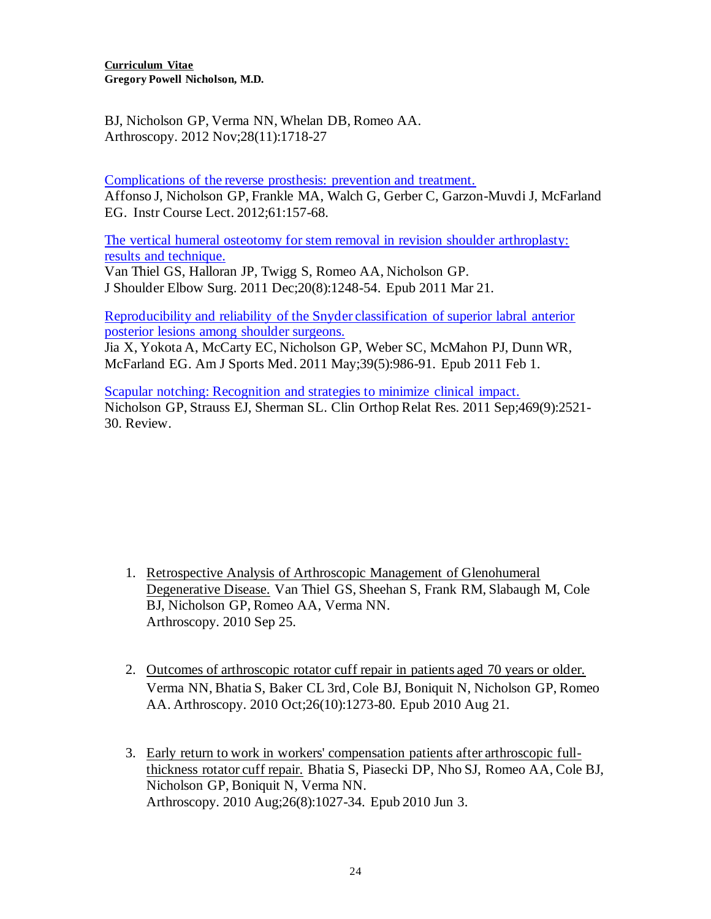**Curriculum Vitae Gregory Powell Nicholson, M.D.**

BJ, Nicholson GP, Verma NN, Whelan DB, Romeo AA. Arthroscopy. 2012 Nov;28(11):1718-27

Complications of the reverse prosthesis: prevention and treatment. Affonso J, Nicholson GP, Frankle MA, Walch G, Gerber C, Garzon-Muvdi J, McFarland EG. Instr Course Lect. 2012;61:157-68.

The vertical humeral osteotomy for stem removal in revision shoulder arthroplasty: results and technique.

Van Thiel GS, Halloran JP, Twigg S, Romeo AA, Nicholson GP. J Shoulder Elbow Surg. 2011 Dec;20(8):1248-54. Epub 2011 Mar 21.

Reproducibility and reliability of the Snyder classification of superior labral anterior posterior lesions among shoulder surgeons.

Jia X, Yokota A, McCarty EC, Nicholson GP, Weber SC, McMahon PJ, Dunn WR, McFarland EG. Am J Sports Med. 2011 May;39(5):986-91. Epub 2011 Feb 1.

Scapular notching: Recognition and strategies to minimize clinical impact. Nicholson GP, Strauss EJ, Sherman SL. Clin Orthop Relat Res. 2011 Sep;469(9):2521- 30. Review.

- 1. Retrospective Analysis of Arthroscopic Management of Glenohumeral Degenerative Disease. Van Thiel GS, Sheehan S, Frank RM, Slabaugh M, Cole BJ, Nicholson GP, Romeo AA, Verma NN. Arthroscopy. 2010 Sep 25.
- 2. Outcomes of arthroscopic rotator cuff repair in patients aged 70 years or older. Verma NN, Bhatia S, Baker CL 3rd, Cole BJ, Boniquit N, Nicholson GP, Romeo AA. Arthroscopy. 2010 Oct;26(10):1273-80. Epub 2010 Aug 21.
- 3. Early return to work in workers' compensation patients after arthroscopic fullthickness rotator cuff repair. Bhatia S, Piasecki DP, Nho SJ, Romeo AA, Cole BJ, Nicholson GP, Boniquit N, Verma NN. Arthroscopy. 2010 Aug;26(8):1027-34. Epub 2010 Jun 3.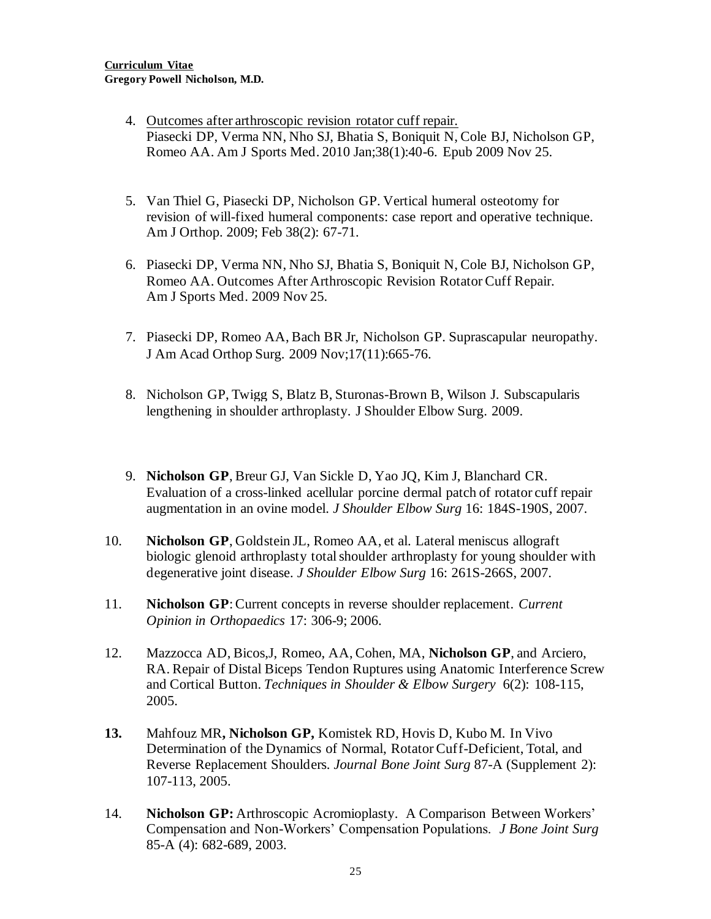- 4. Outcomes after arthroscopic revision rotator cuff repair. Piasecki DP, Verma NN, Nho SJ, Bhatia S, Boniquit N, Cole BJ, Nicholson GP, Romeo AA. Am J Sports Med. 2010 Jan;38(1):40-6. Epub 2009 Nov 25.
- 5. Van Thiel G, Piasecki DP, Nicholson GP. Vertical humeral osteotomy for revision of will-fixed humeral components: case report and operative technique. Am J Orthop. 2009; Feb 38(2): 67-71.
- 6. Piasecki DP, Verma NN, Nho SJ, Bhatia S, Boniquit N, Cole BJ, Nicholson GP, Romeo AA. Outcomes After Arthroscopic Revision Rotator Cuff Repair. Am J Sports Med. 2009 Nov 25.
- 7. Piasecki DP, Romeo AA, Bach BR Jr, Nicholson GP. Suprascapular neuropathy. J Am Acad Orthop Surg. 2009 Nov;17(11):665-76.
- 8. Nicholson GP, Twigg S, Blatz B, Sturonas-Brown B, Wilson J. Subscapularis lengthening in shoulder arthroplasty. J Shoulder Elbow Surg. 2009.
- 9. **Nicholson GP**, Breur GJ, Van Sickle D, Yao JQ, Kim J, Blanchard CR. Evaluation of a cross-linked acellular porcine dermal patch of rotator cuff repair augmentation in an ovine model. *J Shoulder Elbow Surg* 16: 184S-190S, 2007.
- 10. **Nicholson GP**, Goldstein JL, Romeo AA, et al. Lateral meniscus allograft biologic glenoid arthroplasty total shoulder arthroplasty for young shoulder with degenerative joint disease. *J Shoulder Elbow Surg* 16: 261S-266S, 2007.
- 11. **Nicholson GP**: Current concepts in reverse shoulder replacement. *Current Opinion in Orthopaedics* 17: 306-9; 2006.
- 12. Mazzocca AD, Bicos,J, Romeo, AA, Cohen, MA, **Nicholson GP**, and Arciero, RA. Repair of Distal Biceps Tendon Ruptures using Anatomic Interference Screw and Cortical Button. *Techniques in Shoulder & Elbow Surgery* 6(2): 108-115, 2005.
- **13.** Mahfouz MR**, Nicholson GP,** Komistek RD, Hovis D, Kubo M. In Vivo Determination of the Dynamics of Normal, Rotator Cuff-Deficient, Total, and Reverse Replacement Shoulders. *Journal Bone Joint Surg* 87-A (Supplement 2): 107-113, 2005.
- 14. **Nicholson GP:** Arthroscopic Acromioplasty. A Comparison Between Workers' Compensation and Non-Workers' Compensation Populations. *J Bone Joint Surg* 85-A (4): 682-689, 2003.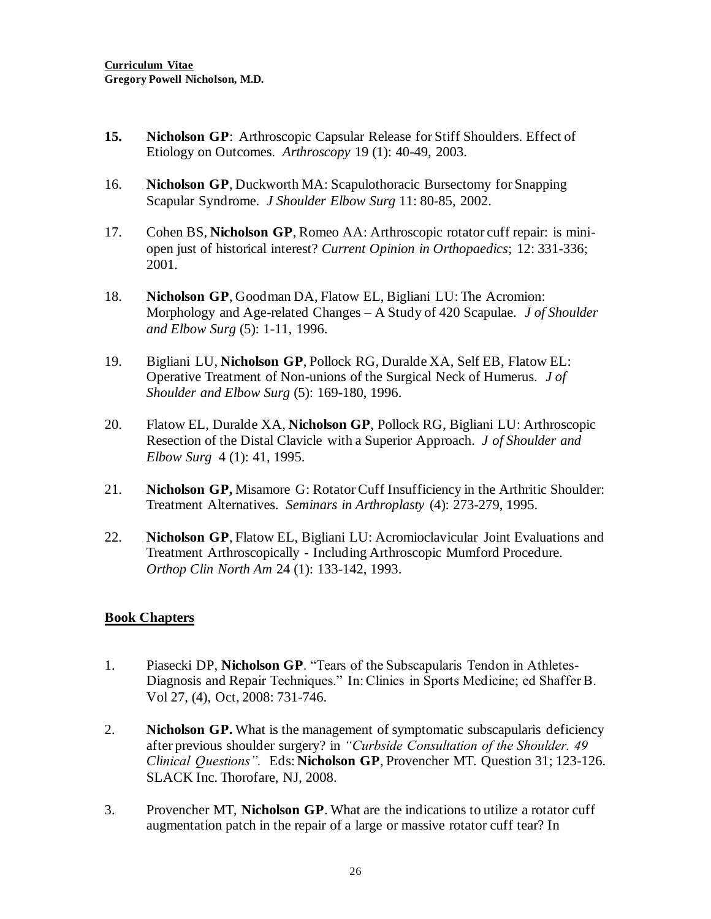- **15. Nicholson GP**: Arthroscopic Capsular Release for Stiff Shoulders. Effect of Etiology on Outcomes. *Arthroscopy* 19 (1): 40-49, 2003.
- 16. **Nicholson GP**, Duckworth MA: Scapulothoracic Bursectomy for Snapping Scapular Syndrome*. J Shoulder Elbow Surg* 11: 80-85, 2002.
- 17. Cohen BS, **Nicholson GP**, Romeo AA: Arthroscopic rotator cuff repair: is miniopen just of historical interest? *Current Opinion in Orthopaedics*; 12: 331-336; 2001.
- 18. **Nicholson GP**, Goodman DA, Flatow EL, Bigliani LU: The Acromion: Morphology and Age-related Changes – A Study of 420 Scapulae. *J of Shoulder and Elbow Surg* (5): 1-11, 1996.
- 19. Bigliani LU, **Nicholson GP**, Pollock RG, Duralde XA, Self EB, Flatow EL: Operative Treatment of Non-unions of the Surgical Neck of Humerus. *J of Shoulder and Elbow Surg* (5): 169-180, 1996.
- 20. Flatow EL, Duralde XA, **Nicholson GP**, Pollock RG, Bigliani LU: Arthroscopic Resection of the Distal Clavicle with a Superior Approach. *J of Shoulder and Elbow Surg* 4 (1): 41, 1995.
- 21. **Nicholson GP,** Misamore G: Rotator Cuff Insufficiency in the Arthritic Shoulder: Treatment Alternatives. *Seminars in Arthroplasty* (4): 273-279, 1995.
- 22. **Nicholson GP**, Flatow EL, Bigliani LU: Acromioclavicular Joint Evaluations and Treatment Arthroscopically - Including Arthroscopic Mumford Procedure. *Orthop Clin North Am* 24 (1): 133-142, 1993.

#### **Book Chapters**

- 1. Piasecki DP, **Nicholson GP**. "Tears of the Subscapularis Tendon in Athletes-Diagnosis and Repair Techniques." In: Clinics in Sports Medicine; ed Shaffer B. Vol 27, (4), Oct, 2008: 731-746.
- 2. **Nicholson GP.** What is the management of symptomatic subscapularis deficiency after previous shoulder surgery? in *"Curbside Consultation of the Shoulder. 49 Clinical Questions".* Eds: **Nicholson GP**, Provencher MT. Question 31; 123-126. SLACK Inc. Thorofare, NJ, 2008.
- 3. Provencher MT, **Nicholson GP**. What are the indications to utilize a rotator cuff augmentation patch in the repair of a large or massive rotator cuff tear? In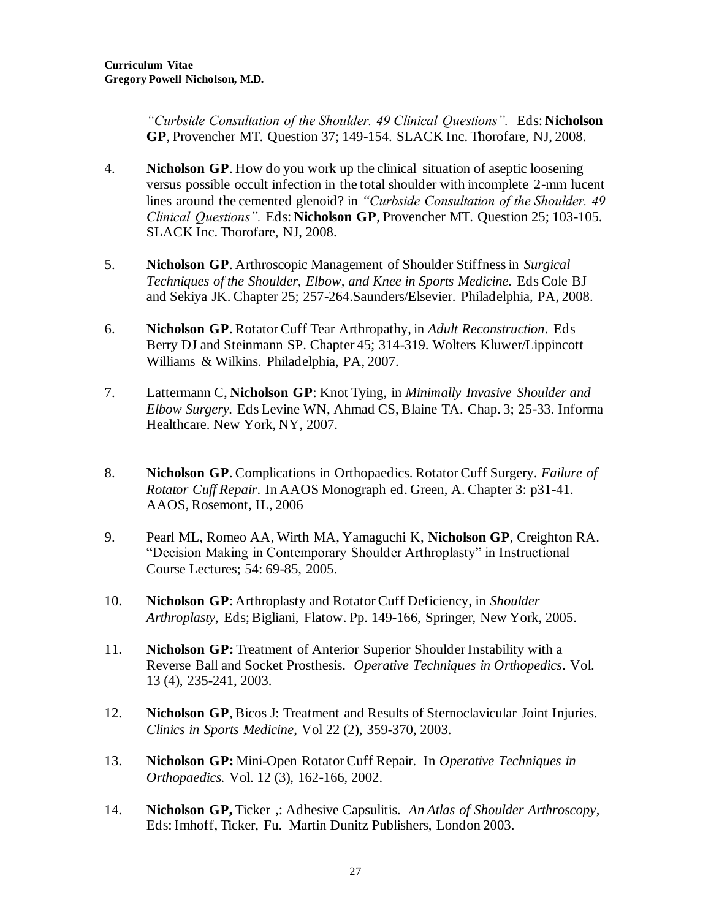*"Curbside Consultation of the Shoulder. 49 Clinical Questions".* Eds: **Nicholson GP**, Provencher MT. Question 37; 149-154. SLACK Inc. Thorofare, NJ, 2008.

- 4. **Nicholson GP**. How do you work up the clinical situation of aseptic loosening versus possible occult infection in the total shoulder with incomplete 2-mm lucent lines around the cemented glenoid? in *"Curbside Consultation of the Shoulder. 49 Clinical Questions".* Eds: **Nicholson GP**, Provencher MT. Question 25; 103-105. SLACK Inc. Thorofare, NJ, 2008.
- 5. **Nicholson GP**. Arthroscopic Management of Shoulder Stiffness in *Surgical Techniques of the Shoulder, Elbow, and Knee in Sports Medicine.* Eds Cole BJ and Sekiya JK. Chapter 25; 257-264.Saunders/Elsevier. Philadelphia, PA, 2008.
- 6. **Nicholson GP**. Rotator Cuff Tear Arthropathy, in *Adult Reconstruction*. Eds Berry DJ and Steinmann SP. Chapter 45; 314-319. Wolters Kluwer/Lippincott Williams & Wilkins. Philadelphia, PA, 2007.
- 7. Lattermann C, **Nicholson GP**: Knot Tying, in *Minimally Invasive Shoulder and Elbow Surgery.* Eds Levine WN, Ahmad CS, Blaine TA. Chap. 3; 25-33. Informa Healthcare. New York, NY, 2007.
- 8. **Nicholson GP**. Complications in Orthopaedics. Rotator Cuff Surgery. *Failure of Rotator Cuff Repair*. In AAOS Monograph ed. Green, A. Chapter 3: p31-41. AAOS, Rosemont, IL, 2006
- 9. Pearl ML, Romeo AA, Wirth MA, Yamaguchi K, **Nicholson GP**, Creighton RA. "Decision Making in Contemporary Shoulder Arthroplasty" in Instructional Course Lectures; 54: 69-85, 2005.
- 10. **Nicholson GP**: Arthroplasty and Rotator Cuff Deficiency, in *Shoulder Arthroplasty,* Eds; Bigliani, Flatow. Pp. 149-166, Springer, New York, 2005.
- 11. **Nicholson GP:** Treatment of Anterior Superior Shoulder Instability with a Reverse Ball and Socket Prosthesis. *Operative Techniques in Orthopedics*. Vol. 13 (4), 235-241, 2003.
- 12. **Nicholson GP**, Bicos J: Treatment and Results of Sternoclavicular Joint Injuries. *Clinics in Sports Medicine*, Vol 22 (2), 359-370, 2003.
- 13. **Nicholson GP:** Mini-Open Rotator Cuff Repair. In *Operative Techniques in Orthopaedics.* Vol. 12 (3), 162-166, 2002.
- 14. **Nicholson GP,** Ticker ,: Adhesive Capsulitis. *An Atlas of Shoulder Arthroscopy*, Eds: Imhoff, Ticker, Fu. Martin Dunitz Publishers, London 2003.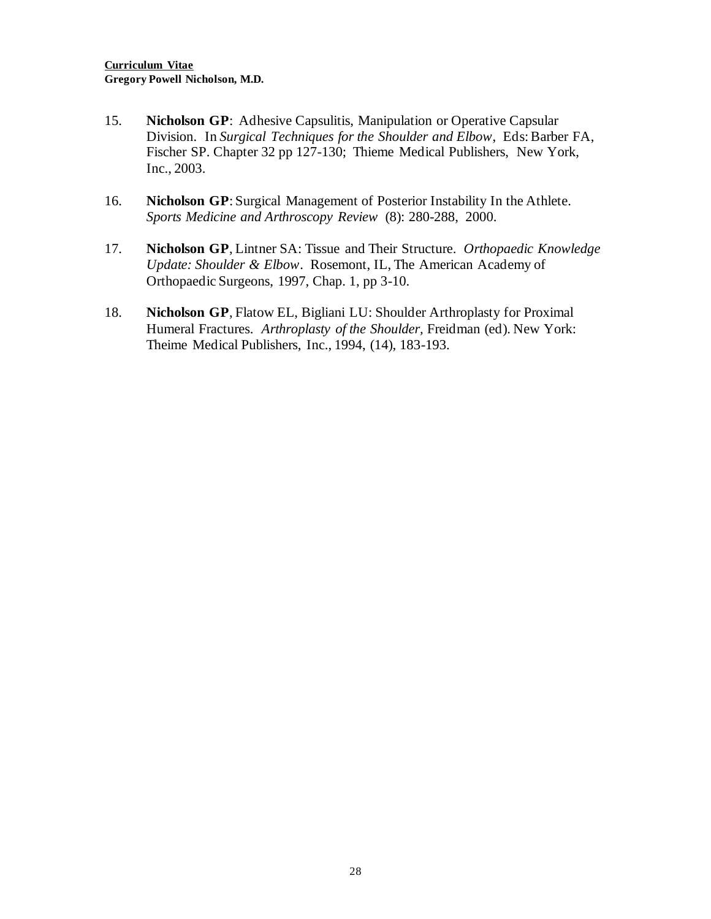- 15. **Nicholson GP**: Adhesive Capsulitis, Manipulation or Operative Capsular Division. In *Surgical Techniques for the Shoulder and Elbow*, Eds: Barber FA, Fischer SP. Chapter 32 pp 127-130; Thieme Medical Publishers, New York, Inc., 2003.
- 16. **Nicholson GP**: Surgical Management of Posterior Instability In the Athlete. *Sports Medicine and Arthroscopy Review* (8): 280-288, 2000.
- 17. **Nicholson GP**, Lintner SA: Tissue and Their Structure. *Orthopaedic Knowledge Update: Shoulder & Elbow*. Rosemont, IL, The American Academy of Orthopaedic Surgeons, 1997, Chap. 1, pp 3-10.
- 18. **Nicholson GP**, Flatow EL, Bigliani LU: Shoulder Arthroplasty for Proximal Humeral Fractures. *Arthroplasty of the Shoulder,* Freidman (ed). New York: Theime Medical Publishers, Inc., 1994, (14), 183-193.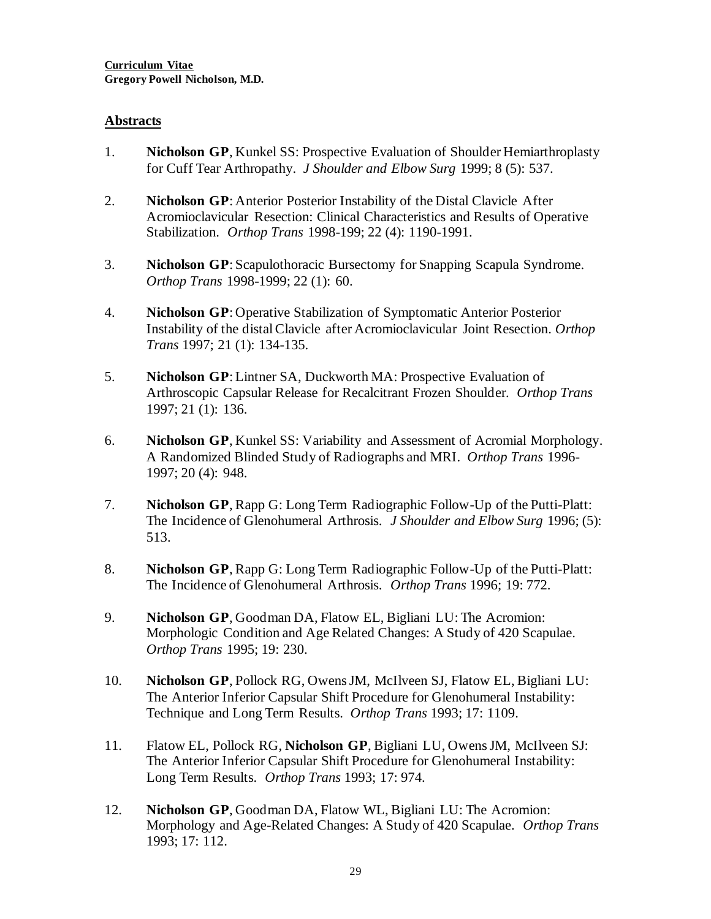#### **Abstracts**

- 1. **Nicholson GP**, Kunkel SS: Prospective Evaluation of Shoulder Hemiarthroplasty for Cuff Tear Arthropathy. *J Shoulder and Elbow Surg* 1999; 8 (5): 537.
- 2. **Nicholson GP**: Anterior Posterior Instability of the Distal Clavicle After Acromioclavicular Resection: Clinical Characteristics and Results of Operative Stabilization. *Orthop Trans* 1998-199; 22 (4): 1190-1991.
- 3. **Nicholson GP**: Scapulothoracic Bursectomy for Snapping Scapula Syndrome. *Orthop Trans* 1998-1999; 22 (1): 60.
- 4. **Nicholson GP**: Operative Stabilization of Symptomatic Anterior Posterior Instability of the distal Clavicle after Acromioclavicular Joint Resection. *Orthop Trans* 1997; 21 (1): 134-135.
- 5. **Nicholson GP**: Lintner SA, Duckworth MA: Prospective Evaluation of Arthroscopic Capsular Release for Recalcitrant Frozen Shoulder. *Orthop Trans* 1997; 21 (1): 136.
- 6. **Nicholson GP**, Kunkel SS: Variability and Assessment of Acromial Morphology. A Randomized Blinded Study of Radiographs and MRI. *Orthop Trans* 1996- 1997; 20 (4): 948.
- 7. **Nicholson GP**, Rapp G: Long Term Radiographic Follow-Up of the Putti-Platt: The Incidence of Glenohumeral Arthrosis. *J Shoulder and Elbow Surg* 1996; (5): 513.
- 8. **Nicholson GP**, Rapp G: Long Term Radiographic Follow-Up of the Putti-Platt: The Incidence of Glenohumeral Arthrosis. *Orthop Trans* 1996; 19: 772.
- 9. **Nicholson GP**, Goodman DA, Flatow EL, Bigliani LU: The Acromion: Morphologic Condition and Age Related Changes: A Study of 420 Scapulae. *Orthop Trans* 1995; 19: 230.
- 10. **Nicholson GP**, Pollock RG, Owens JM, McIlveen SJ, Flatow EL, Bigliani LU: The Anterior Inferior Capsular Shift Procedure for Glenohumeral Instability: Technique and Long Term Results. *Orthop Trans* 1993; 17: 1109.
- 11. Flatow EL, Pollock RG, **Nicholson GP**, Bigliani LU, Owens JM, McIlveen SJ: The Anterior Inferior Capsular Shift Procedure for Glenohumeral Instability: Long Term Results. *Orthop Trans* 1993; 17: 974.
- 12. **Nicholson GP**, Goodman DA, Flatow WL, Bigliani LU: The Acromion: Morphology and Age-Related Changes: A Study of 420 Scapulae. *Orthop Trans* 1993; 17: 112.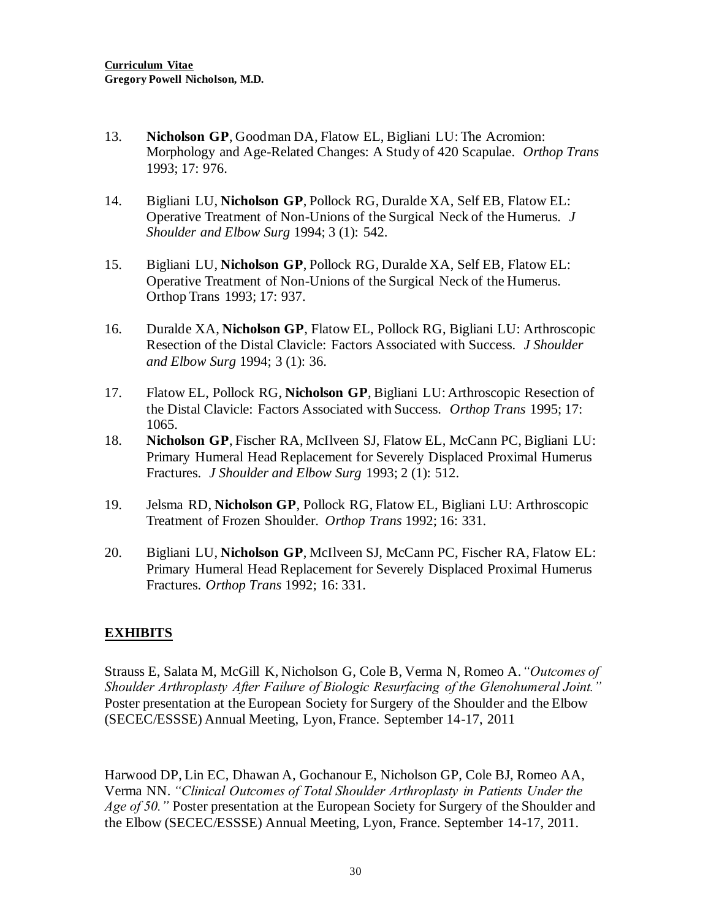- 13. **Nicholson GP**, Goodman DA, Flatow EL, Bigliani LU: The Acromion: Morphology and Age-Related Changes: A Study of 420 Scapulae. *Orthop Trans* 1993; 17: 976.
- 14. Bigliani LU, **Nicholson GP**, Pollock RG, Duralde XA, Self EB, Flatow EL: Operative Treatment of Non-Unions of the Surgical Neck of the Humerus. *J Shoulder and Elbow Surg* 1994; 3 (1): 542.
- 15. Bigliani LU, **Nicholson GP**, Pollock RG, Duralde XA, Self EB, Flatow EL: Operative Treatment of Non-Unions of the Surgical Neck of the Humerus. Orthop Trans 1993; 17: 937.
- 16. Duralde XA, **Nicholson GP**, Flatow EL, Pollock RG, Bigliani LU: Arthroscopic Resection of the Distal Clavicle: Factors Associated with Success. *J Shoulder and Elbow Surg* 1994; 3 (1): 36.
- 17. Flatow EL, Pollock RG, **Nicholson GP**, Bigliani LU: Arthroscopic Resection of the Distal Clavicle: Factors Associated with Success. *Orthop Trans* 1995; 17: 1065.
- 18. **Nicholson GP**, Fischer RA, McIlveen SJ, Flatow EL, McCann PC, Bigliani LU: Primary Humeral Head Replacement for Severely Displaced Proximal Humerus Fractures. *J Shoulder and Elbow Surg* 1993; 2 (1): 512.
- 19. Jelsma RD, **Nicholson GP**, Pollock RG, Flatow EL, Bigliani LU: Arthroscopic Treatment of Frozen Shoulder. *Orthop Trans* 1992; 16: 331.
- 20. Bigliani LU, **Nicholson GP**, McIlveen SJ, McCann PC, Fischer RA, Flatow EL: Primary Humeral Head Replacement for Severely Displaced Proximal Humerus Fractures. *Orthop Trans* 1992; 16: 331.

#### **EXHIBITS**

Strauss E, Salata M, McGill K, Nicholson G, Cole B, Verma N, Romeo A.*"Outcomes of Shoulder Arthroplasty After Failure of Biologic Resurfacing of the Glenohumeral Joint."* Poster presentation at the European Society for Surgery of the Shoulder and the Elbow (SECEC/ESSSE) Annual Meeting, Lyon, France. September 14-17, 2011

Harwood DP, Lin EC, Dhawan A, Gochanour E, Nicholson GP, Cole BJ, Romeo AA, Verma NN. *"Clinical Outcomes of Total Shoulder Arthroplasty in Patients Under the Age of 50."* Poster presentation at the European Society for Surgery of the Shoulder and the Elbow (SECEC/ESSSE) Annual Meeting, Lyon, France. September 14-17, 2011.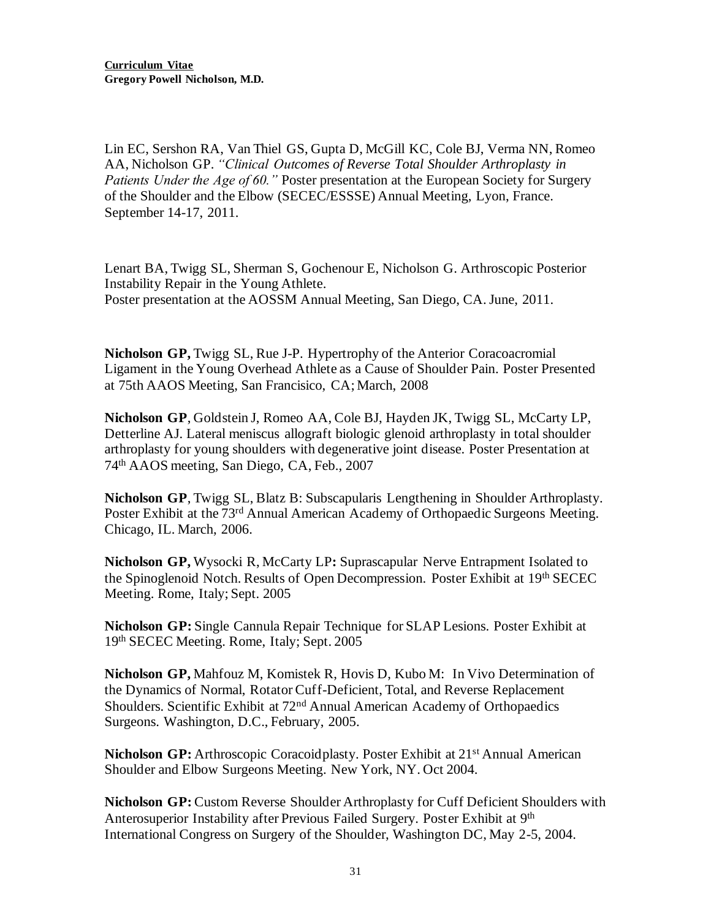Lin EC, Sershon RA, Van Thiel GS, Gupta D, McGill KC, Cole BJ, Verma NN, Romeo AA, Nicholson GP. *"Clinical Outcomes of Reverse Total Shoulder Arthroplasty in Patients Under the Age of 60."* Poster presentation at the European Society for Surgery of the Shoulder and the Elbow (SECEC/ESSSE) Annual Meeting, Lyon, France. September 14-17, 2011.

Lenart BA, Twigg SL, Sherman S, Gochenour E, Nicholson G. Arthroscopic Posterior Instability Repair in the Young Athlete. Poster presentation at the AOSSM Annual Meeting, San Diego, CA. June, 2011.

**Nicholson GP,** Twigg SL, Rue J-P. Hypertrophy of the Anterior Coracoacromial Ligament in the Young Overhead Athlete as a Cause of Shoulder Pain. Poster Presented at 75th AAOS Meeting, San Francisico, CA; March, 2008

**Nicholson GP**, Goldstein J, Romeo AA, Cole BJ, Hayden JK, Twigg SL, McCarty LP, Detterline AJ. Lateral meniscus allograft biologic glenoid arthroplasty in total shoulder arthroplasty for young shoulders with degenerative joint disease. Poster Presentation at 74th AAOS meeting, San Diego, CA, Feb., 2007

**Nicholson GP**, Twigg SL, Blatz B: Subscapularis Lengthening in Shoulder Arthroplasty. Poster Exhibit at the 73<sup>rd</sup> Annual American Academy of Orthopaedic Surgeons Meeting. Chicago, IL. March, 2006.

**Nicholson GP,** Wysocki R, McCarty LP**:** Suprascapular Nerve Entrapment Isolated to the Spinoglenoid Notch. Results of Open Decompression. Poster Exhibit at 19th SECEC Meeting. Rome, Italy; Sept. 2005

**Nicholson GP:** Single Cannula Repair Technique for SLAP Lesions. Poster Exhibit at 19th SECEC Meeting. Rome, Italy; Sept. 2005

**Nicholson GP,** Mahfouz M, Komistek R, Hovis D, Kubo M: In Vivo Determination of the Dynamics of Normal, Rotator Cuff-Deficient, Total, and Reverse Replacement Shoulders. Scientific Exhibit at 72<sup>nd</sup> Annual American Academy of Orthopaedics Surgeons. Washington, D.C., February, 2005.

**Nicholson GP:** Arthroscopic Coracoid plasty. Poster Exhibit at 21<sup>st</sup> Annual American Shoulder and Elbow Surgeons Meeting. New York, NY. Oct 2004.

**Nicholson GP:** Custom Reverse Shoulder Arthroplasty for Cuff Deficient Shoulders with Anterosuperior Instability after Previous Failed Surgery. Poster Exhibit at 9<sup>th</sup> International Congress on Surgery of the Shoulder, Washington DC, May 2-5, 2004.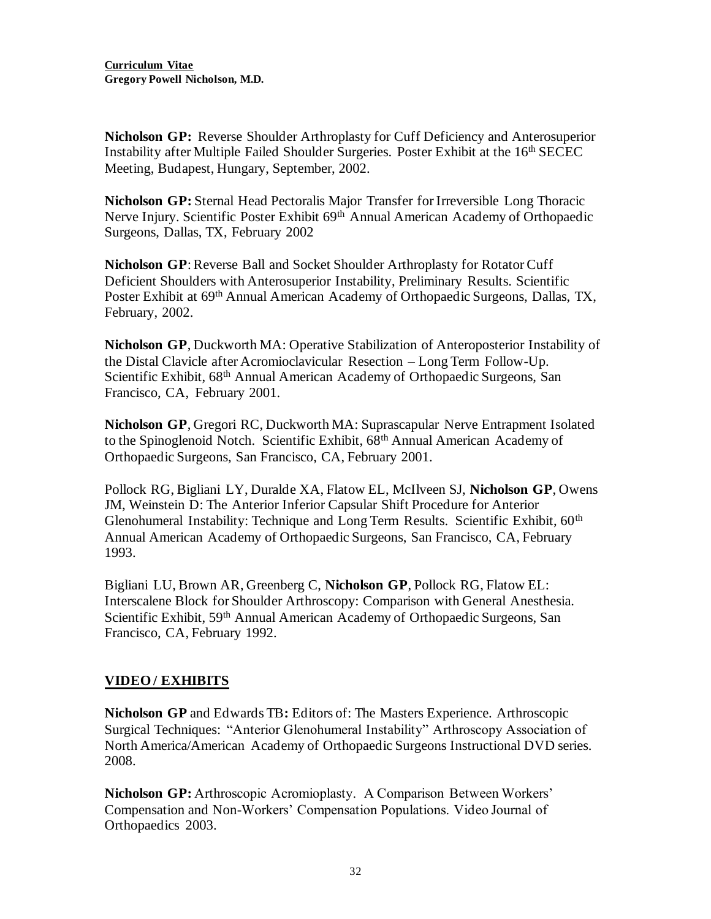**Nicholson GP:** Reverse Shoulder Arthroplasty for Cuff Deficiency and Anterosuperior Instability after Multiple Failed Shoulder Surgeries. Poster Exhibit at the 16<sup>th</sup> SECEC Meeting, Budapest, Hungary, September, 2002.

**Nicholson GP:** Sternal Head Pectoralis Major Transfer for Irreversible Long Thoracic Nerve Injury. Scientific Poster Exhibit 69<sup>th</sup> Annual American Academy of Orthopaedic Surgeons, Dallas, TX, February 2002

**Nicholson GP**: Reverse Ball and Socket Shoulder Arthroplasty for Rotator Cuff Deficient Shoulders with Anterosuperior Instability, Preliminary Results. Scientific Poster Exhibit at 69<sup>th</sup> Annual American Academy of Orthopaedic Surgeons, Dallas, TX, February, 2002.

**Nicholson GP**, Duckworth MA: Operative Stabilization of Anteroposterior Instability of the Distal Clavicle after Acromioclavicular Resection – Long Term Follow-Up. Scientific Exhibit, 68<sup>th</sup> Annual American Academy of Orthopaedic Surgeons, San Francisco, CA, February 2001.

**Nicholson GP**, Gregori RC, Duckworth MA: Suprascapular Nerve Entrapment Isolated to the Spinoglenoid Notch. Scientific Exhibit, 68<sup>th</sup> Annual American Academy of Orthopaedic Surgeons, San Francisco, CA, February 2001.

Pollock RG, Bigliani LY, Duralde XA, Flatow EL, McIlveen SJ, **Nicholson GP**, Owens JM, Weinstein D: The Anterior Inferior Capsular Shift Procedure for Anterior Glenohumeral Instability: Technique and Long Term Results. Scientific Exhibit, 60<sup>th</sup> Annual American Academy of Orthopaedic Surgeons, San Francisco, CA, February 1993.

Bigliani LU, Brown AR, Greenberg C, **Nicholson GP**, Pollock RG, Flatow EL: Interscalene Block for Shoulder Arthroscopy: Comparison with General Anesthesia. Scientific Exhibit, 59<sup>th</sup> Annual American Academy of Orthopaedic Surgeons, San Francisco, CA, February 1992.

## **VIDEO / EXHIBITS**

**Nicholson GP** and Edwards TB**:** Editors of: The Masters Experience. Arthroscopic Surgical Techniques: "Anterior Glenohumeral Instability" Arthroscopy Association of North America/American Academy of Orthopaedic Surgeons Instructional DVD series. 2008.

**Nicholson GP:** Arthroscopic Acromioplasty. A Comparison Between Workers' Compensation and Non-Workers' Compensation Populations. Video Journal of Orthopaedics 2003.